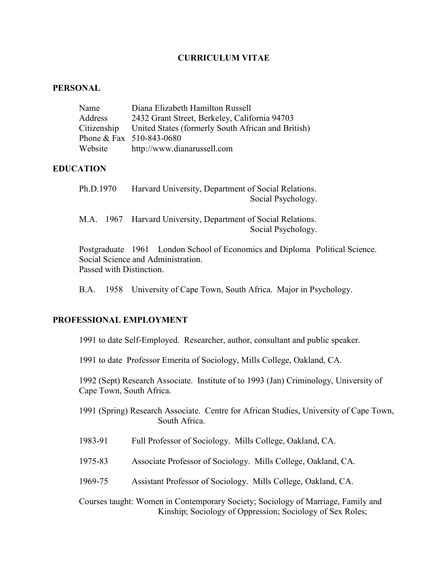# **CURRICULUM VITAE**

### **PERSONAL**

| Name        | Diana Elizabeth Hamilton Russell                   |
|-------------|----------------------------------------------------|
| Address     | 2432 Grant Street, Berkeley, California 94703      |
| Citizenship | United States (formerly South African and British) |
|             | Phone & Fax $510-843-0680$                         |
| Website     | http://www.dianarussell.com                        |

## **EDUCATION**

| Ph.D.1970 | Harvard University, Department of Social Relations. |  |
|-----------|-----------------------------------------------------|--|
|           | Social Psychology.                                  |  |

M.A. 1967 Harvard University, Department of Social Relations. Social Psychology.

Postgraduate 1961 London School of Economics and Diploma Political Science. Social Science and Administration. Passed with Distinction.

B.A. 1958 University of Cape Town, South Africa. Major in Psychology.

### **PROFESSIONAL EMPLOYMENT**

1991 to date Self-Employed. Researcher, author, consultant and public speaker.

1991 to date Professor Emerita of Sociology, Mills College, Oakland, CA.

1992 (Sept) Research Associate. Institute of to 1993 (Jan) Criminology, University of Cape Town, South Africa.

1991 (Spring) Research Associate. Centre for African Studies, University of Cape Town, South Africa.

- 1983-91 Full Professor of Sociology. Mills College, Oakland, CA.
- 1975-83 Associate Professor of Sociology. Mills College, Oakland, CA.
- 1969-75 Assistant Professor of Sociology. Mills College, Oakland, CA.

Courses taught: Women in Contemporary Society; Sociology of Marriage, Family and Kinship; Sociology of Oppression; Sociology of Sex Roles;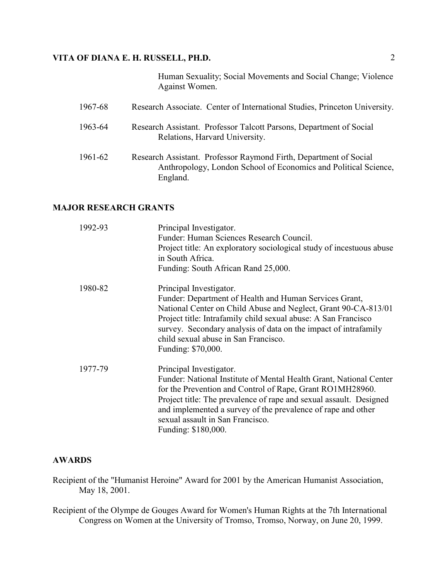Human Sexuality; Social Movements and Social Change; Violence Against Women.

| 1967-68 | Research Associate. Center of International Studies, Princeton University.                                                                       |
|---------|--------------------------------------------------------------------------------------------------------------------------------------------------|
| 1963-64 | Research Assistant. Professor Talcott Parsons, Department of Social<br>Relations, Harvard University.                                            |
| 1961-62 | Research Assistant. Professor Raymond Firth, Department of Social<br>Anthropology, London School of Economics and Political Science,<br>England. |

# **MAJOR RESEARCH GRANTS**

| 1992-93 | Principal Investigator.<br>Funder: Human Sciences Research Council.<br>Project title: An exploratory sociological study of incestuous abuse<br>in South Africa.<br>Funding: South African Rand 25,000.                                                                                                                                                      |
|---------|-------------------------------------------------------------------------------------------------------------------------------------------------------------------------------------------------------------------------------------------------------------------------------------------------------------------------------------------------------------|
| 1980-82 | Principal Investigator.<br>Funder: Department of Health and Human Services Grant,<br>National Center on Child Abuse and Neglect, Grant 90-CA-813/01<br>Project title: Intrafamily child sexual abuse: A San Francisco<br>survey. Secondary analysis of data on the impact of intrafamily<br>child sexual abuse in San Francisco.<br>Funding: \$70,000.      |
| 1977-79 | Principal Investigator.<br>Funder: National Institute of Mental Health Grant, National Center<br>for the Prevention and Control of Rape, Grant RO1MH28960.<br>Project title: The prevalence of rape and sexual assault. Designed<br>and implemented a survey of the prevalence of rape and other<br>sexual assault in San Francisco.<br>Funding: \$180,000. |

# **AWARDS**

- Recipient of the "Humanist Heroine" Award for 2001 by the American Humanist Association, May 18, 2001.
- Recipient of the Olympe de Gouges Award for Women's Human Rights at the 7th International Congress on Women at the University of Tromso, Tromso, Norway, on June 20, 1999.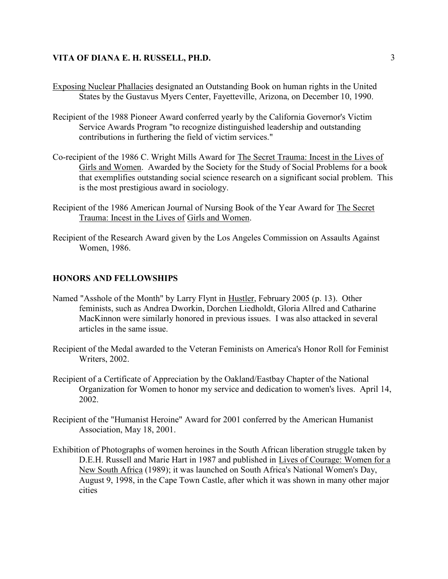- Exposing Nuclear Phallacies designated an Outstanding Book on human rights in the United States by the Gustavus Myers Center, Fayetteville, Arizona, on December 10, 1990.
- Recipient of the 1988 Pioneer Award conferred yearly by the California Governor's Victim Service Awards Program "to recognize distinguished leadership and outstanding contributions in furthering the field of victim services."
- Co-recipient of the 1986 C. Wright Mills Award for The Secret Trauma: Incest in the Lives of Girls and Women. Awarded by the Society for the Study of Social Problems for a book that exemplifies outstanding social science research on a significant social problem. This is the most prestigious award in sociology.
- Recipient of the 1986 American Journal of Nursing Book of the Year Award for The Secret Trauma: Incest in the Lives of Girls and Women.
- Recipient of the Research Award given by the Los Angeles Commission on Assaults Against Women, 1986.

#### **HONORS AND FELLOWSHIPS**

- Named "Asshole of the Month" by Larry Flynt in Hustler, February 2005 (p. 13). Other feminists, such as Andrea Dworkin, Dorchen Liedholdt, Gloria Allred and Catharine MacKinnon were similarly honored in previous issues. I was also attacked in several articles in the same issue.
- Recipient of the Medal awarded to the Veteran Feminists on America's Honor Roll for Feminist Writers, 2002.
- Recipient of a Certificate of Appreciation by the Oakland/Eastbay Chapter of the National Organization for Women to honor my service and dedication to women's lives. April 14, 2002.
- Recipient of the "Humanist Heroine" Award for 2001 conferred by the American Humanist Association, May 18, 2001.
- Exhibition of Photographs of women heroines in the South African liberation struggle taken by D.E.H. Russell and Marie Hart in 1987 and published in Lives of Courage: Women for a New South Africa (1989); it was launched on South Africa's National Women's Day, August 9, 1998, in the Cape Town Castle, after which it was shown in many other major cities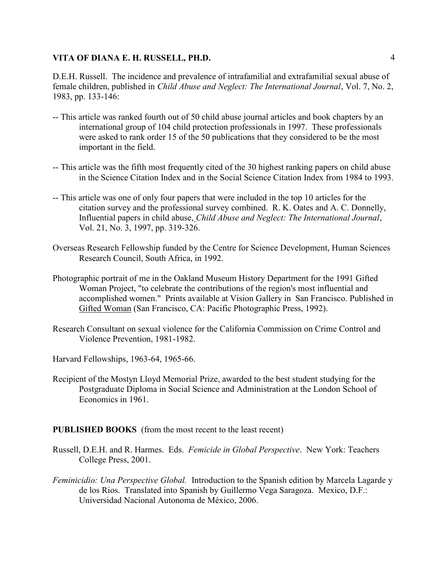D.E.H. Russell. The incidence and prevalence of intrafamilial and extrafamilial sexual abuse of female children, published in *Child Abuse and Neglect: The International Journal*, Vol. 7, No. 2, 1983, pp. 133-146:

- -- This article was ranked fourth out of 50 child abuse journal articles and book chapters by an international group of 104 child protection professionals in 1997. These professionals were asked to rank order 15 of the 50 publications that they considered to be the most important in the field.
- -- This article was the fifth most frequently cited of the 30 highest ranking papers on child abuse in the Science Citation Index and in the Social Science Citation Index from 1984 to 1993.
- -- This article was one of only four papers that were included in the top 10 articles for the citation survey and the professional survey combined. R. K. Oates and A. C. Donnelly, Influential papers in child abuse, *Child Abuse and Neglect: The International Journal*, Vol. 21, No. 3, 1997, pp. 319-326.
- Overseas Research Fellowship funded by the Centre for Science Development, Human Sciences Research Council, South Africa, in 1992.
- Photographic portrait of me in the Oakland Museum History Department for the 1991 Gifted Woman Project, "to celebrate the contributions of the region's most influential and accomplished women." Prints available at Vision Gallery in San Francisco. Published in Gifted Woman (San Francisco, CA: Pacific Photographic Press, 1992).
- Research Consultant on sexual violence for the California Commission on Crime Control and Violence Prevention, 1981-1982.
- Harvard Fellowships, 1963-64, 1965-66.
- Recipient of the Mostyn Lloyd Memorial Prize, awarded to the best student studying for the Postgraduate Diploma in Social Science and Administration at the London School of Economics in 1961.

### **PUBLISHED BOOKS** (from the most recent to the least recent)

- Russell, D.E.H. and R. Harmes. Eds. *Femicide in Global Perspective*. New York: Teachers College Press, 2001.
- *Feminicidio: Una Perspective Global.* Introduction to the Spanish edition by Marcela Lagarde y de los Rios. Translated into Spanish by Guillermo Vega Saragoza. Mexico, D.F.: Universidad Nacional Autonoma de México, 2006.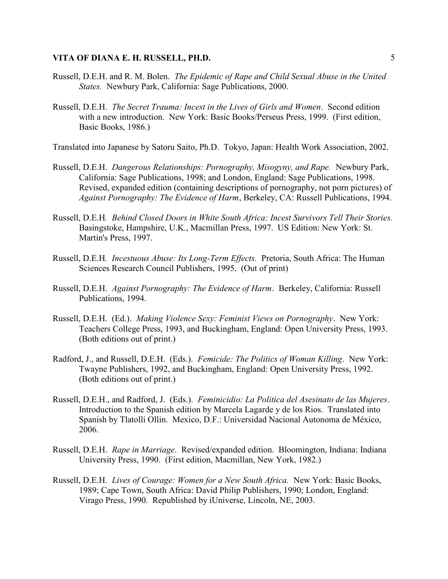- Russell, D.E.H. and R. M. Bolen. *The Epidemic of Rape and Child Sexual Abuse in the United States.* Newbury Park, California: Sage Publications, 2000.
- Russell, D.E.H. *The Secret Trauma: Incest in the Lives of Girls and Women*. Second edition with a new introduction. New York: Basic Books/Perseus Press, 1999. (First edition, Basic Books, 1986.)

Translated into Japanese by Satoru Saito, Ph.D. Tokyo, Japan: Health Work Association, 2002.

- Russell, D.E.H. *Dangerous Relationships: Pornography, Misogyny, and Rape.* Newbury Park, California: Sage Publications, 1998; and London, England: Sage Publications, 1998. Revised, expanded edition (containing descriptions of pornography, not porn pictures) of *Against Pornography: The Evidence of Harm*, Berkeley, CA: Russell Publications, 1994.
- Russell, D.E.H*. Behind Closed Doors in White South Africa: Incest Survivors Tell Their Stories.* Basingstoke, Hampshire, U.K., Macmillan Press, 1997. US Edition: New York: St. Martin's Press, 1997.
- Russell, D.E.H*. Incestuous Abuse: Its Long-Term Effects.* Pretoria, South Africa: The Human Sciences Research Council Publishers, 1995. (Out of print)
- Russell, D.E.H. *Against Pornography: The Evidence of Harm*. Berkeley, California: Russell Publications, 1994.
- Russell, D.E.H. (Ed.). *Making Violence Sexy: Feminist Views on Pornography*. New York: Teachers College Press, 1993, and Buckingham, England: Open University Press, 1993. (Both editions out of print.)
- Radford, J., and Russell, D.E.H. (Eds.). *Femicide: The Politics of Woman Killing*. New York: Twayne Publishers, 1992, and Buckingham, England: Open University Press, 1992. (Both editions out of print.)
- Russell, D.E.H., and Radford, J. (Eds.). *Feminicidio: La Politica del Asesinato de las Mujeres*. Introduction to the Spanish edition by Marcela Lagarde y de los Rios. Translated into Spanish by Tlatolli Ollin. Mexico, D.F.: Universidad Nacional Autonoma de México, 2006.
- Russell, D.E.H. *Rape in Marriage*. Revised/expanded edition. Bloomington, Indiana: Indiana University Press, 1990. (First edition, Macmillan, New York, 1982.)
- Russell, D.E.H. *Lives of Courage: Women for a New South Africa.* New York: Basic Books, 1989; Cape Town, South Africa: David Philip Publishers, 1990; London, England: Virago Press, 1990. Republished by iUniverse, Lincoln, NE, 2003.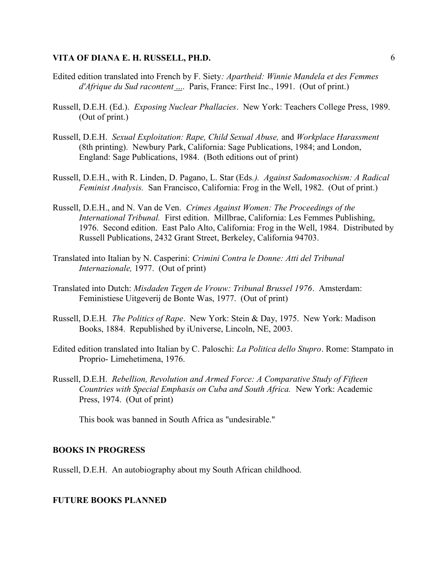- Edited edition translated into French by F. Siety*: Apartheid: Winnie Mandela et des Femmes d'Afrique du Sud racontent* .... Paris, France: First Inc., 1991. (Out of print.)
- Russell, D.E.H. (Ed.). *Exposing Nuclear Phallacies*. New York: Teachers College Press, 1989. (Out of print.)
- Russell, D.E.H. *Sexual Exploitation: Rape, Child Sexual Abuse,* and *Workplace Harassment* (8th printing). Newbury Park, California: Sage Publications, 1984; and London, England: Sage Publications, 1984. (Both editions out of print)
- Russell, D.E.H., with R. Linden, D. Pagano, L. Star (Eds*.). Against Sadomasochism: A Radical Feminist Analysis.* San Francisco, California: Frog in the Well, 1982. (Out of print.)
- Russell, D.E.H., and N. Van de Ven. *Crimes Against Women: The Proceedings of the International Tribunal.* First edition. Millbrae, California: Les Femmes Publishing, 1976. Second edition. East Palo Alto, California: Frog in the Well, 1984. Distributed by Russell Publications, 2432 Grant Street, Berkeley, California 94703.
- Translated into Italian by N. Casperini: *Crimini Contra le Donne: Atti del Tribunal Internazionale,* 1977. (Out of print)
- Translated into Dutch: *Misdaden Tegen de Vrouw: Tribunal Brussel 1976*. Amsterdam: Feministiese Uitgeverij de Bonte Was, 1977. (Out of print)
- Russell, D.E.H*. The Politics of Rape*. New York: Stein & Day, 1975. New York: Madison Books, 1884. Republished by iUniverse, Lincoln, NE, 2003.
- Edited edition translated into Italian by C. Paloschi: *La Politica dello Stupro*. Rome: Stampato in Proprio- Limehetimena, 1976.
- Russell, D.E.H. *Rebellion, Revolution and Armed Force: A Comparative Study of Fifteen Countries with Special Emphasis on Cuba and South Africa.* New York: Academic Press, 1974. (Out of print)

This book was banned in South Africa as "undesirable."

#### **BOOKS IN PROGRESS**

Russell, D.E.H. An autobiography about my South African childhood.

#### **FUTURE BOOKS PLANNED**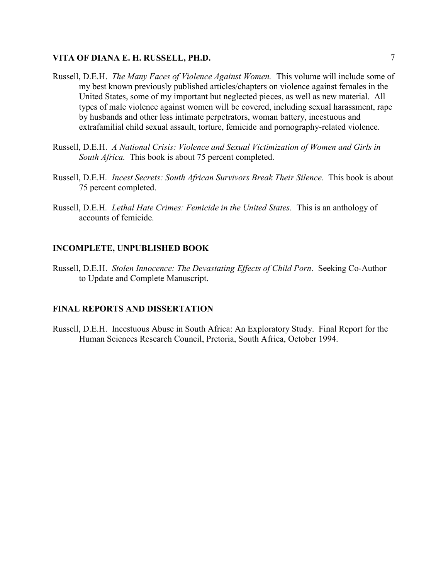- Russell, D.E.H. *The Many Faces of Violence Against Women.* This volume will include some of my best known previously published articles/chapters on violence against females in the United States, some of my important but neglected pieces, as well as new material. All types of male violence against women will be covered, including sexual harassment, rape by husbands and other less intimate perpetrators, woman battery, incestuous and extrafamilial child sexual assault, torture, femicide and pornography-related violence.
- Russell, D.E.H. *A National Crisis: Violence and Sexual Victimization of Women and Girls in South Africa.* This book is about 75 percent completed.
- Russell, D.E.H*. Incest Secrets: South African Survivors Break Their Silence*. This book is about 75 percent completed.
- Russell, D.E.H*. Lethal Hate Crimes: Femicide in the United States.* This is an anthology of accounts of femicide.

#### **INCOMPLETE, UNPUBLISHED BOOK**

Russell, D.E.H. *Stolen Innocence: The Devastating Effects of Child Porn*. Seeking Co-Author to Update and Complete Manuscript.

#### **FINAL REPORTS AND DISSERTATION**

Russell, D.E.H. Incestuous Abuse in South Africa: An Exploratory Study. Final Report for the Human Sciences Research Council, Pretoria, South Africa, October 1994.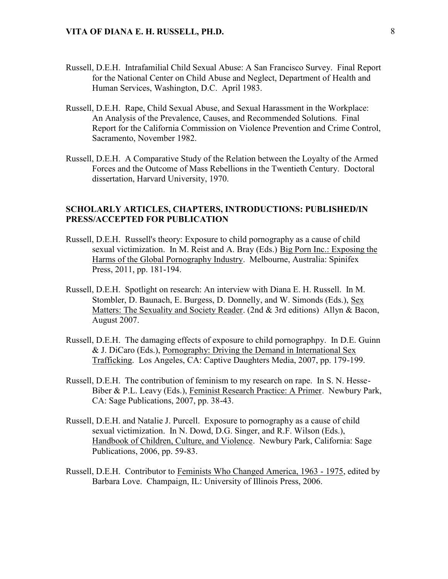- Russell, D.E.H. Intrafamilial Child Sexual Abuse: A San Francisco Survey. Final Report for the National Center on Child Abuse and Neglect, Department of Health and Human Services, Washington, D.C. April 1983.
- Russell, D.E.H. Rape, Child Sexual Abuse, and Sexual Harassment in the Workplace: An Analysis of the Prevalence, Causes, and Recommended Solutions. Final Report for the California Commission on Violence Prevention and Crime Control, Sacramento, November 1982.
- Russell, D.E.H. A Comparative Study of the Relation between the Loyalty of the Armed Forces and the Outcome of Mass Rebellions in the Twentieth Century. Doctoral dissertation, Harvard University, 1970.

## **SCHOLARLY ARTICLES, CHAPTERS, INTRODUCTIONS: PUBLISHED/IN PRESS/ACCEPTED FOR PUBLICATION**

- Russell, D.E.H. Russell's theory: Exposure to child pornography as a cause of child sexual victimization. In M. Reist and A. Bray (Eds.) Big Porn Inc.: Exposing the Harms of the Global Pornography Industry. Melbourne, Australia: Spinifex Press, 2011, pp. 181-194.
- Russell, D.E.H. Spotlight on research: An interview with Diana E. H. Russell. In M. Stombler, D. Baunach, E. Burgess, D. Donnelly, and W. Simonds (Eds.), Sex Matters: The Sexuality and Society Reader. (2nd & 3rd editions) Allyn & Bacon, August 2007.
- Russell, D.E.H. The damaging effects of exposure to child pornographpy. In D.E. Guinn & J. DiCaro (Eds.), Pornography: Driving the Demand in International Sex Trafficking. Los Angeles, CA: Captive Daughters Media, 2007, pp. 179-199.
- Russell, D.E.H. The contribution of feminism to my research on rape. In S. N. Hesse- Biber & P.L. Leavy (Eds.), Feminist Research Practice: A Primer. Newbury Park, CA: Sage Publications, 2007, pp. 38-43.
- Russell, D.E.H. and Natalie J. Purcell. Exposure to pornography as a cause of child sexual victimization. In N. Dowd, D.G. Singer, and R.F. Wilson (Eds.), Handbook of Children, Culture, and Violence. Newbury Park, California: Sage Publications, 2006, pp. 59-83.
- Russell, D.E.H. Contributor to Feminists Who Changed America, 1963 1975, edited by Barbara Love. Champaign, IL: University of Illinois Press, 2006.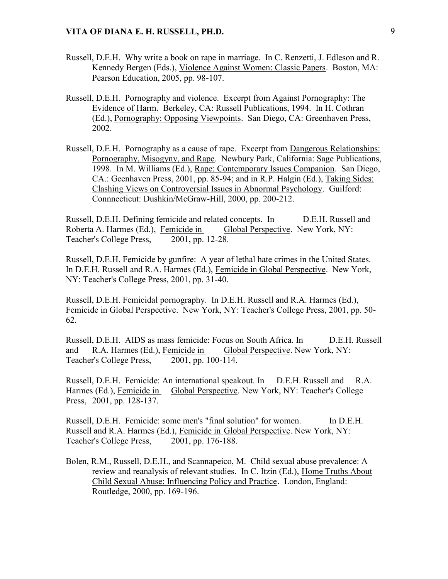- Russell, D.E.H. Why write a book on rape in marriage. In C. Renzetti, J. Edleson and R. Kennedy Bergen (Eds.), Violence Against Women: Classic Papers. Boston, MA: Pearson Education, 2005, pp. 98-107.
- Russell, D.E.H. Pornography and violence. Excerpt from Against Pornography: The Evidence of Harm. Berkeley, CA: Russell Publications, 1994. In H. Cothran (Ed.), Pornography: Opposing Viewpoints. San Diego, CA: Greenhaven Press, 2002.
- Russell, D.E.H. Pornography as a cause of rape. Excerpt from Dangerous Relationships: Pornography, Misogyny, and Rape. Newbury Park, California: Sage Publications, 1998. In M. Williams (Ed.), Rape: Contemporary Issues Companion. San Diego, CA.: Geenhaven Press, 2001, pp. 85-94; and in R.P. Halgin (Ed.), Taking Sides: Clashing Views on Controversial Issues in Abnormal Psychology. Guilford: Connnecticut: Dushkin/McGraw-Hill, 2000, pp. 200-212.

Russell, D.E.H. Defining femicide and related concepts. In D.E.H. Russell and Roberta A. Harmes (Ed.), Femicide in Global Perspective. New York, NY: Teacher's College Press, 2001, pp. 12-28.

Russell, D.E.H. Femicide by gunfire: A year of lethal hate crimes in the United States. In D.E.H. Russell and R.A. Harmes (Ed.), Femicide in Global Perspective. New York, NY: Teacher's College Press, 2001, pp. 31-40.

Russell, D.E.H. Femicidal pornography. In D.E.H. Russell and R.A. Harmes (Ed.), Femicide in Global Perspective. New York, NY: Teacher's College Press, 2001, pp. 50- 62.

Russell, D.E.H. AIDS as mass femicide: Focus on South Africa. In D.E.H. Russell and R.A. Harmes (Ed.), Femicide in Global Perspective. New York, NY: Teacher's College Press, 2001, pp. 100-114.

Russell, D.E.H. Femicide: An international speakout. In D.E.H. Russell and R.A. Harmes (Ed.), Femicide in Global Perspective. New York, NY: Teacher's College Press, 2001, pp. 128-137.

Russell, D.E.H. Femicide: some men's "final solution" for women. In D.E.H. Russell and R.A. Harmes (Ed.), Femicide in Global Perspective. New York, NY: Teacher's College Press, 2001, pp. 176-188.

Bolen, R.M., Russell, D.E.H., and Scannapeico, M. Child sexual abuse prevalence: A review and reanalysis of relevant studies. In C. Itzin (Ed.), Home Truths About Child Sexual Abuse: Influencing Policy and Practice. London, England: Routledge, 2000, pp. 169-196.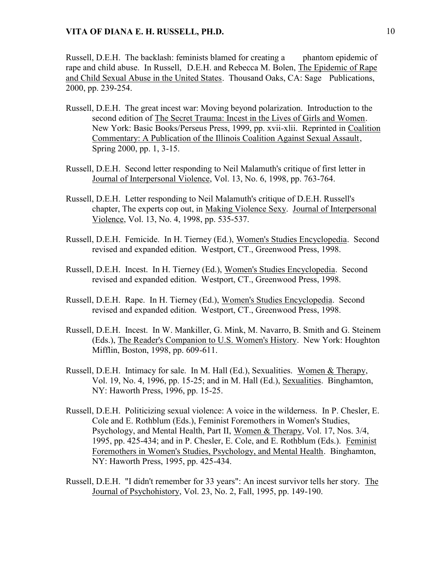Russell, D.E.H. The backlash: feminists blamed for creating a phantom epidemic of rape and child abuse. In Russell, D.E.H. and Rebecca M. Bolen, The Epidemic of Rape and Child Sexual Abuse in the United States. Thousand Oaks, CA: Sage Publications, 2000, pp. 239-254.

- Russell, D.E.H. The great incest war: Moving beyond polarization. Introduction to the second edition of The Secret Trauma: Incest in the Lives of Girls and Women. New York: Basic Books/Perseus Press, 1999, pp. xvii-xlii. Reprinted in Coalition Commentary: A Publication of the Illinois Coalition Against Sexual Assault, Spring 2000, pp. 1, 3-15.
- Russell, D.E.H. Second letter responding to Neil Malamuth's critique of first letter in Journal of Interpersonal Violence, Vol. 13, No. 6, 1998, pp. 763-764.
- Russell, D.E.H. Letter responding to Neil Malamuth's critique of D.E.H. Russell's chapter, The experts cop out, in Making Violence Sexy. Journal of Interpersonal Violence, Vol. 13, No. 4, 1998, pp. 535-537.
- Russell, D.E.H. Femicide. In H. Tierney (Ed.), Women's Studies Encyclopedia. Second revised and expanded edition. Westport, CT., Greenwood Press, 1998.
- Russell, D.E.H. Incest. In H. Tierney (Ed.), Women's Studies Encyclopedia. Second revised and expanded edition. Westport, CT., Greenwood Press, 1998.
- Russell, D.E.H. Rape. In H. Tierney (Ed.), Women's Studies Encyclopedia. Second revised and expanded edition. Westport, CT., Greenwood Press, 1998.
- Russell, D.E.H. Incest. In W. Mankiller, G. Mink, M. Navarro, B. Smith and G. Steinem (Eds.), The Reader's Companion to U.S. Women's History. New York: Houghton Mifflin, Boston, 1998, pp. 609-611.
- Russell, D.E.H. Intimacy for sale. In M. Hall (Ed.), Sexualities. Women & Therapy, Vol. 19, No. 4, 1996, pp. 15-25; and in M. Hall (Ed.), Sexualities. Binghamton, NY: Haworth Press, 1996, pp. 15-25.
- Russell, D.E.H. Politicizing sexual violence: A voice in the wilderness. In P. Chesler, E. Cole and E. Rothblum (Eds.), Feminist Foremothers in Women's Studies, Psychology, and Mental Health, Part II, Women & Therapy, Vol. 17, Nos. 3/4, 1995, pp. 425-434; and in P. Chesler, E. Cole, and E. Rothblum (Eds.). Feminist Foremothers in Women's Studies, Psychology, and Mental Health. Binghamton, NY: Haworth Press, 1995, pp. 425-434.
- Russell, D.E.H. "I didn't remember for 33 years": An incest survivor tells her story. The Journal of Psychohistory, Vol. 23, No. 2, Fall, 1995, pp. 149-190.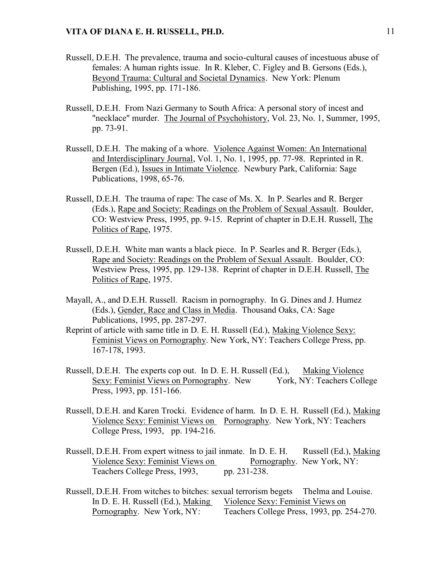- Russell, D.E.H. The prevalence, trauma and socio-cultural causes of incestuous abuse of females: A human rights issue. In R. Kleber, C. Figley and B. Gersons (Eds.), Beyond Trauma: Cultural and Societal Dynamics. New York: Plenum Publishing, 1995, pp. 171-186.
- Russell, D.E.H. From Nazi Germany to South Africa: A personal story of incest and "necklace" murder. The Journal of Psychohistory, Vol. 23, No. 1, Summer, 1995, pp. 73-91.
- Russell, D.E.H. The making of a whore. Violence Against Women: An International and Interdisciplinary Journal, Vol. 1, No. 1, 1995, pp. 77-98. Reprinted in R. Bergen (Ed.), Issues in Intimate Violence. Newbury Park, California: Sage Publications, 1998, 65-76.
- Russell, D.E.H. The trauma of rape: The case of Ms. X. In P. Searles and R. Berger (Eds.), Rape and Society: Readings on the Problem of Sexual Assault. Boulder, CO: Westview Press, 1995, pp. 9-15. Reprint of chapter in D.E.H. Russell, The Politics of Rape, 1975.
- Russell, D.E.H. White man wants a black piece. In P. Searles and R. Berger (Eds.), Rape and Society: Readings on the Problem of Sexual Assault. Boulder, CO: Westview Press, 1995, pp. 129-138. Reprint of chapter in D.E.H. Russell, The Politics of Rape, 1975.
- Mayall, A., and D.E.H. Russell. Racism in pornography. In G. Dines and J. Humez (Eds.), Gender, Race and Class in Media. Thousand Oaks, CA: Sage Publications, 1995, pp. 287-297.
- Reprint of article with same title in D. E. H. Russell (Ed.), Making Violence Sexy: Feminist Views on Pornography. New York, NY: Teachers College Press, pp. 167-178, 1993.
- Russell, D.E.H. The experts cop out. In D. E. H. Russell (Ed.), Making Violence Sexy: Feminist Views on Pornography. New York, NY: Teachers College Press, 1993, pp. 151-166.
- Russell, D.E.H. and Karen Trocki. Evidence of harm. In D. E. H. Russell (Ed.), Making Violence Sexy: Feminist Views on Pornography. New York, NY: Teachers College Press, 1993, pp. 194-216.
- Russell, D.E.H. From expert witness to jail inmate. In D. E. H. Russell (Ed.), Making Violence Sexy: Feminist Views on Pornography. New York, NY: Teachers College Press, 1993, pp. 231-238.
- Russell, D.E.H. From witches to bitches: sexual terrorism begets Thelma and Louise. In D. E. H. Russell (Ed.), Making Violence Sexy: Feminist Views on Pornography. New York, NY: Teachers College Press, 1993, pp. 254-270.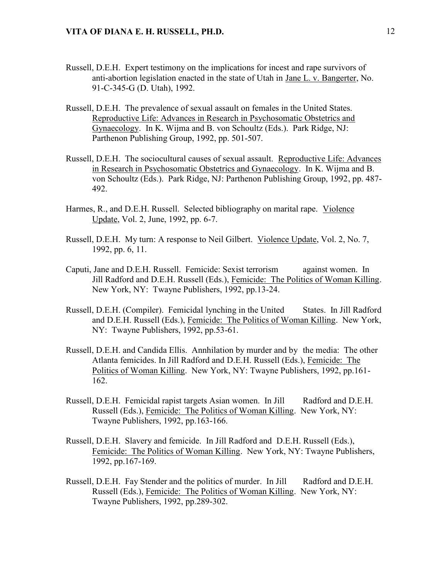- Russell, D.E.H. Expert testimony on the implications for incest and rape survivors of anti-abortion legislation enacted in the state of Utah in Jane L. v. Bangerter, No. 91-C-345-G (D. Utah), 1992.
- Russell, D.E.H. The prevalence of sexual assault on females in the United States. Reproductive Life: Advances in Research in Psychosomatic Obstetrics and Gynaecology. In K. Wijma and B. von Schoultz (Eds.). Park Ridge, NJ: Parthenon Publishing Group, 1992, pp. 501-507.
- Russell, D.E.H. The sociocultural causes of sexual assault. Reproductive Life: Advances in Research in Psychosomatic Obstetrics and Gynaecology. In K. Wijma and B. von Schoultz (Eds.). Park Ridge, NJ: Parthenon Publishing Group, 1992, pp. 487- 492.
- Harmes, R., and D.E.H. Russell. Selected bibliography on marital rape. Violence Update, Vol. 2, June, 1992, pp. 6-7.
- Russell, D.E.H. My turn: A response to Neil Gilbert. Violence Update, Vol. 2, No. 7, 1992, pp. 6, 11.
- Caputi, Jane and D.E.H. Russell. Femicide: Sexist terrorism against women. In Jill Radford and D.E.H. Russell (Eds.), Femicide: The Politics of Woman Killing. New York, NY: Twayne Publishers, 1992, pp.13-24.
- Russell, D.E.H. (Compiler). Femicidal lynching in the United States. In Jill Radford and D.E.H. Russell (Eds.), Femicide: The Politics of Woman Killing. New York, NY: Twayne Publishers, 1992, pp.53-61.
- Russell, D.E.H. and Candida Ellis. Annhilation by murder and by the media: The other Atlanta femicides. In Jill Radford and D.E.H. Russell (Eds.), Femicide: The Politics of Woman Killing. New York, NY: Twayne Publishers, 1992, pp.161- 162.
- Russell, D.E.H. Femicidal rapist targets Asian women. In Jill Radford and D.E.H. Russell (Eds.), Femicide: The Politics of Woman Killing. New York, NY: Twayne Publishers, 1992, pp.163-166.
- Russell, D.E.H. Slavery and femicide. In Jill Radford and D.E.H. Russell (Eds.), Femicide: The Politics of Woman Killing. New York, NY: Twayne Publishers, 1992, pp.167-169.
- Russell, D.E.H. Fay Stender and the politics of murder. In Jill Radford and D.E.H. Russell (Eds.), Femicide: The Politics of Woman Killing. New York, NY: Twayne Publishers, 1992, pp.289-302.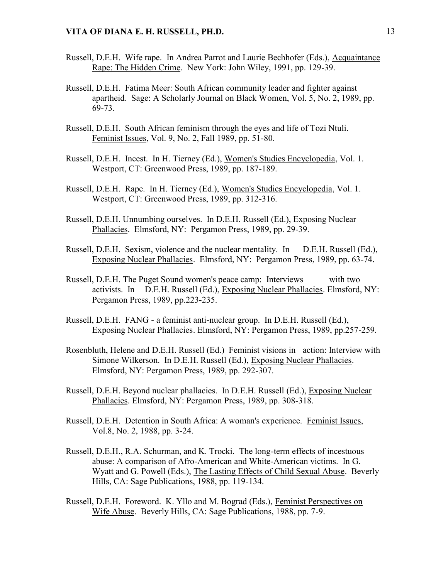- Russell, D.E.H. Wife rape. In Andrea Parrot and Laurie Bechhofer (Eds.), Acquaintance Rape: The Hidden Crime. New York: John Wiley, 1991, pp. 129-39.
- Russell, D.E.H. Fatima Meer: South African community leader and fighter against apartheid. Sage: A Scholarly Journal on Black Women, Vol. 5, No. 2, 1989, pp. 69-73.
- Russell, D.E.H. South African feminism through the eyes and life of Tozi Ntuli. Feminist Issues, Vol. 9, No. 2, Fall 1989, pp. 51-80.
- Russell, D.E.H. Incest. In H. Tierney (Ed.), Women's Studies Encyclopedia, Vol. 1. Westport, CT: Greenwood Press, 1989, pp. 187-189.
- Russell, D.E.H. Rape. In H. Tierney (Ed.), Women's Studies Encyclopedia, Vol. 1. Westport, CT: Greenwood Press, 1989, pp. 312-316.
- Russell, D.E.H. Unnumbing ourselves. In D.E.H. Russell (Ed.), Exposing Nuclear Phallacies. Elmsford, NY: Pergamon Press, 1989, pp. 29-39.
- Russell, D.E.H. Sexism, violence and the nuclear mentality. In D.E.H. Russell (Ed.), Exposing Nuclear Phallacies. Elmsford, NY: Pergamon Press, 1989, pp. 63-74.
- Russell, D.E.H. The Puget Sound women's peace camp: Interviews with two activists. In D.E.H. Russell (Ed.), Exposing Nuclear Phallacies. Elmsford, NY: Pergamon Press, 1989, pp.223-235.
- Russell, D.E.H. FANG a feminist anti-nuclear group. In D.E.H. Russell (Ed.), Exposing Nuclear Phallacies. Elmsford, NY: Pergamon Press, 1989, pp.257-259.
- Rosenbluth, Helene and D.E.H. Russell (Ed.) Feminist visions in action: Interview with Simone Wilkerson. In D.E.H. Russell (Ed.), Exposing Nuclear Phallacies. Elmsford, NY: Pergamon Press, 1989, pp. 292-307.
- Russell, D.E.H. Beyond nuclear phallacies. In D.E.H. Russell (Ed.), Exposing Nuclear Phallacies. Elmsford, NY: Pergamon Press, 1989, pp. 308-318.
- Russell, D.E.H. Detention in South Africa: A woman's experience. Feminist Issues, Vol.8, No. 2, 1988, pp. 3-24.
- Russell, D.E.H., R.A. Schurman, and K. Trocki. The long-term effects of incestuous abuse: A comparison of Afro-American and White-American victims. In G. Wyatt and G. Powell (Eds.), The Lasting Effects of Child Sexual Abuse. Beverly Hills, CA: Sage Publications, 1988, pp. 119-134.
- Russell, D.E.H. Foreword. K. Yllo and M. Bograd (Eds.), Feminist Perspectives on Wife Abuse. Beverly Hills, CA: Sage Publications, 1988, pp. 7-9.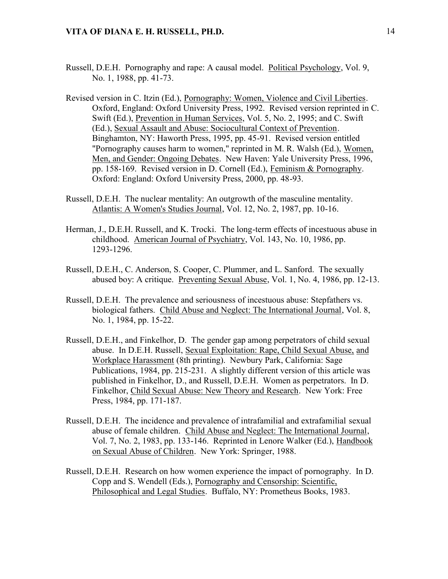- Russell, D.E.H. Pornography and rape: A causal model. Political Psychology, Vol. 9, No. 1, 1988, pp. 41-73.
- Revised version in C. Itzin (Ed.), Pornography: Women, Violence and Civil Liberties. Oxford, England: Oxford University Press, 1992. Revised version reprinted in C. Swift (Ed.), Prevention in Human Services, Vol. 5, No. 2, 1995; and C. Swift (Ed.), Sexual Assault and Abuse: Sociocultural Context of Prevention. Binghamton, NY: Haworth Press, 1995, pp. 45-91. Revised version entitled "Pornography causes harm to women," reprinted in M. R. Walsh (Ed.), Women, Men, and Gender: Ongoing Debates. New Haven: Yale University Press, 1996, pp. 158-169. Revised version in D. Cornell (Ed.), Feminism & Pornography. Oxford: England: Oxford University Press, 2000, pp. 48-93.
- Russell, D.E.H. The nuclear mentality: An outgrowth of the masculine mentality. Atlantis: A Women's Studies Journal, Vol. 12, No. 2, 1987, pp. 10-16.
- Herman, J., D.E.H. Russell, and K. Trocki. The long-term effects of incestuous abuse in childhood. American Journal of Psychiatry, Vol. 143, No. 10, 1986, pp. 1293-1296.
- Russell, D.E.H., C. Anderson, S. Cooper, C. Plummer, and L. Sanford. The sexually abused boy: A critique. Preventing Sexual Abuse, Vol. 1, No. 4, 1986, pp. 12-13.
- Russell, D.E.H. The prevalence and seriousness of incestuous abuse: Stepfathers vs. biological fathers. Child Abuse and Neglect: The International Journal, Vol. 8, No. 1, 1984, pp. 15-22.
- Russell, D.E.H., and Finkelhor, D. The gender gap among perpetrators of child sexual abuse. In D.E.H. Russell, Sexual Exploitation: Rape, Child Sexual Abuse, and Workplace Harassment (8th printing). Newbury Park, California: Sage Publications, 1984, pp. 215-231. A slightly different version of this article was published in Finkelhor, D., and Russell, D.E.H. Women as perpetrators. In D. Finkelhor, Child Sexual Abuse: New Theory and Research. New York: Free Press, 1984, pp. 171-187.
- Russell, D.E.H. The incidence and prevalence of intrafamilial and extrafamilial sexual abuse of female children. Child Abuse and Neglect: The International Journal, Vol. 7, No. 2, 1983, pp. 133-146. Reprinted in Lenore Walker (Ed.), Handbook on Sexual Abuse of Children. New York: Springer, 1988.
- Russell, D.E.H. Research on how women experience the impact of pornography. In D. Copp and S. Wendell (Eds.), Pornography and Censorship: Scientific, Philosophical and Legal Studies. Buffalo, NY: Prometheus Books, 1983.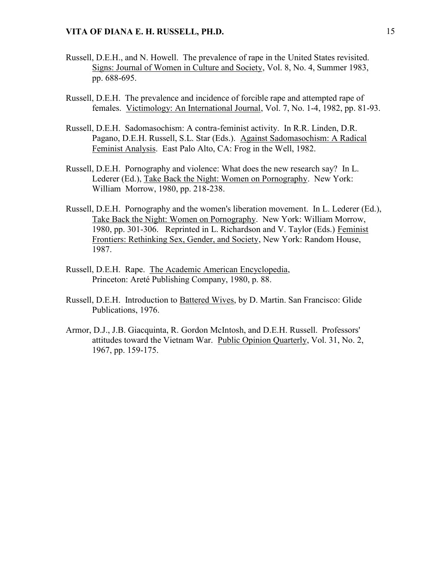- Russell, D.E.H., and N. Howell. The prevalence of rape in the United States revisited. Signs: Journal of Women in Culture and Society, Vol. 8, No. 4, Summer 1983, pp. 688-695.
- Russell, D.E.H. The prevalence and incidence of forcible rape and attempted rape of females. Victimology: An International Journal, Vol. 7, No. 1-4, 1982, pp. 81-93.
- Russell, D.E.H. Sadomasochism: A contra-feminist activity. In R.R. Linden, D.R. Pagano, D.E.H. Russell, S.L. Star (Eds.). Against Sadomasochism: A Radical Feminist Analysis. East Palo Alto, CA: Frog in the Well, 1982.
- Russell, D.E.H. Pornography and violence: What does the new research say? In L. Lederer (Ed.), Take Back the Night: Women on Pornography. New York: William Morrow, 1980, pp. 218-238.
- Russell, D.E.H. Pornography and the women's liberation movement. In L. Lederer (Ed.), Take Back the Night: Women on Pornography. New York: William Morrow, 1980, pp. 301-306. Reprinted in L. Richardson and V. Taylor (Eds.) Feminist Frontiers: Rethinking Sex, Gender, and Society, New York: Random House, 1987.
- Russell, D.E.H. Rape. The Academic American Encyclopedia, Princeton: Areté Publishing Company, 1980, p. 88.
- Russell, D.E.H. Introduction to Battered Wives, by D. Martin. San Francisco: Glide Publications, 1976.
- Armor, D.J., J.B. Giacquinta, R. Gordon McIntosh, and D.E.H. Russell. Professors' attitudes toward the Vietnam War. Public Opinion Quarterly, Vol. 31, No. 2, 1967, pp. 159-175.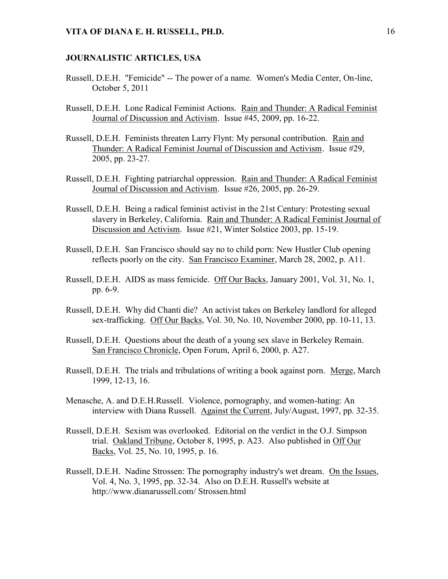#### **JOURNALISTIC ARTICLES, USA**

- Russell, D.E.H. "Femicide" -- The power of a name. Women's Media Center, On-line, October 5, 2011
- Russell, D.E.H. Lone Radical Feminist Actions. Rain and Thunder: A Radical Feminist Journal of Discussion and Activism. Issue #45, 2009, pp. 16-22.
- Russell, D.E.H. Feminists threaten Larry Flynt: My personal contribution. Rain and Thunder: A Radical Feminist Journal of Discussion and Activism. Issue #29, 2005, pp. 23-27.
- Russell, D.E.H. Fighting patriarchal oppression. Rain and Thunder: A Radical Feminist Journal of Discussion and Activism. Issue #26, 2005, pp. 26-29.
- Russell, D.E.H. Being a radical feminist activist in the 21st Century: Protesting sexual slavery in Berkeley, California. Rain and Thunder: A Radical Feminist Journal of Discussion and Activism. Issue #21, Winter Solstice 2003, pp. 15-19.
- Russell, D.E.H. San Francisco should say no to child porn: New Hustler Club opening reflects poorly on the city. San Francisco Examiner, March 28, 2002, p. A11.
- Russell, D.E.H. AIDS as mass femicide. Off Our Backs, January 2001, Vol. 31, No. 1, pp. 6-9.
- Russell, D.E.H. Why did Chanti die? An activist takes on Berkeley landlord for alleged sex-trafficking. Off Our Backs, Vol. 30, No. 10, November 2000, pp. 10-11, 13.
- Russell, D.E.H. Questions about the death of a young sex slave in Berkeley Remain. San Francisco Chronicle, Open Forum, April 6, 2000, p. A27.
- Russell, D.E.H. The trials and tribulations of writing a book against porn. Merge, March 1999, 12-13, 16.
- Menasche, A. and D.E.H.Russell. Violence, pornography, and women-hating: An interview with Diana Russell. Against the Current, July/August, 1997, pp. 32-35.
- Russell, D.E.H. Sexism was overlooked. Editorial on the verdict in the O.J. Simpson trial. Oakland Tribune, October 8, 1995, p. A23. Also published in Off Our Backs, Vol. 25, No. 10, 1995, p. 16.
- Russell, D.E.H. Nadine Strossen: The pornography industry's wet dream. On the Issues, Vol. 4, No. 3, 1995, pp. 32-34. Also on D.E.H. Russell's website at http://www.dianarussell.com/ Strossen.html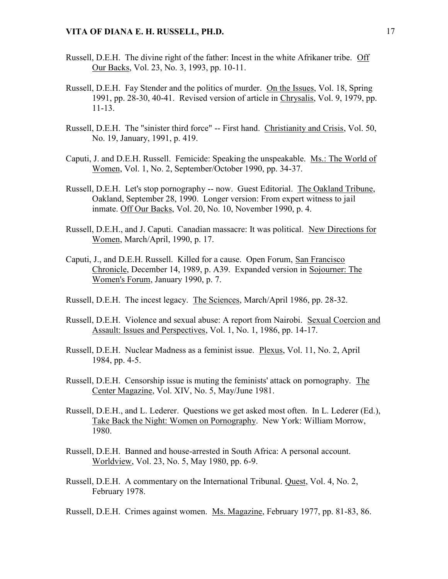- Russell, D.E.H. The divine right of the father: Incest in the white Afrikaner tribe. Off Our Backs, Vol. 23, No. 3, 1993, pp. 10-11.
- Russell, D.E.H. Fay Stender and the politics of murder. On the Issues, Vol. 18, Spring 1991, pp. 28-30, 40-41. Revised version of article in Chrysalis, Vol. 9, 1979, pp. 11-13.
- Russell, D.E.H. The "sinister third force" -- First hand. Christianity and Crisis, Vol. 50, No. 19, January, 1991, p. 419.
- Caputi, J. and D.E.H. Russell. Femicide: Speaking the unspeakable. Ms.: The World of Women, Vol. 1, No. 2, September/October 1990, pp. 34-37.
- Russell, D.E.H. Let's stop pornography -- now. Guest Editorial. The Oakland Tribune, Oakland, September 28, 1990. Longer version: From expert witness to jail inmate. Off Our Backs, Vol. 20, No. 10, November 1990, p. 4.
- Russell, D.E.H., and J. Caputi. Canadian massacre: It was political. New Directions for Women, March/April, 1990, p. 17.
- Caputi, J., and D.E.H. Russell. Killed for a cause. Open Forum, San Francisco Chronicle, December 14, 1989, p. A39. Expanded version in Sojourner: The Women's Forum, January 1990, p. 7.
- Russell, D.E.H. The incest legacy. The Sciences, March/April 1986, pp. 28-32.
- Russell, D.E.H. Violence and sexual abuse: A report from Nairobi. Sexual Coercion and Assault: Issues and Perspectives, Vol. 1, No. 1, 1986, pp. 14-17.
- Russell, D.E.H. Nuclear Madness as a feminist issue. Plexus, Vol. 11, No. 2, April 1984, pp. 4-5.
- Russell, D.E.H. Censorship issue is muting the feminists' attack on pornography. The Center Magazine, Vol. XIV, No. 5, May/June 1981.
- Russell, D.E.H., and L. Lederer. Questions we get asked most often. In L. Lederer (Ed.), Take Back the Night: Women on Pornography. New York: William Morrow, 1980.
- Russell, D.E.H. Banned and house-arrested in South Africa: A personal account. Worldview, Vol. 23, No. 5, May 1980, pp. 6-9.
- Russell, D.E.H. A commentary on the International Tribunal. Quest, Vol. 4, No. 2, February 1978.
- Russell, D.E.H. Crimes against women. Ms. Magazine, February 1977, pp. 81-83, 86.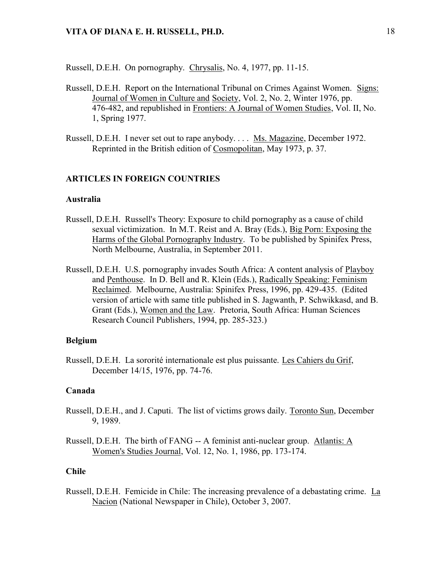Russell, D.E.H. On pornography. Chrysalis, No. 4, 1977, pp. 11-15.

- Russell, D.E.H. Report on the International Tribunal on Crimes Against Women. Signs: Journal of Women in Culture and Society, Vol. 2, No. 2, Winter 1976, pp. 476-482, and republished in Frontiers: A Journal of Women Studies, Vol. II, No. 1, Spring 1977.
- Russell, D.E.H. I never set out to rape anybody. . . . Ms. Magazine, December 1972. Reprinted in the British edition of Cosmopolitan, May 1973, p. 37.

#### **ARTICLES IN FOREIGN COUNTRIES**

#### **Australia**

- Russell, D.E.H. Russell's Theory: Exposure to child pornography as a cause of child sexual victimization. In M.T. Reist and A. Bray (Eds.), Big Porn: Exposing the Harms of the Global Pornography Industry. To be published by Spinifex Press, North Melbourne, Australia, in September 2011.
- Russell, D.E.H. U.S. pornography invades South Africa: A content analysis of Playboy and Penthouse. In D. Bell and R. Klein (Eds.), Radically Speaking: Feminism Reclaimed. Melbourne, Australia: Spinifex Press, 1996, pp. 429-435. (Edited version of article with same title published in S. Jagwanth, P. Schwikkasd, and B. Grant (Eds.), Women and the Law. Pretoria, South Africa: Human Sciences Research Council Publishers, 1994, pp. 285-323.)

#### **Belgium**

Russell, D.E.H. La sororité internationale est plus puissante. Les Cahiers du Grif, December 14/15, 1976, pp. 74-76.

### **Canada**

- Russell, D.E.H., and J. Caputi. The list of victims grows daily. Toronto Sun, December 9, 1989.
- Russell, D.E.H. The birth of FANG -- A feminist anti-nuclear group. Atlantis: A Women's Studies Journal, Vol. 12, No. 1, 1986, pp. 173-174.

### **Chile**

Russell, D.E.H. Femicide in Chile: The increasing prevalence of a debastating crime. La Nacion (National Newspaper in Chile), October 3, 2007.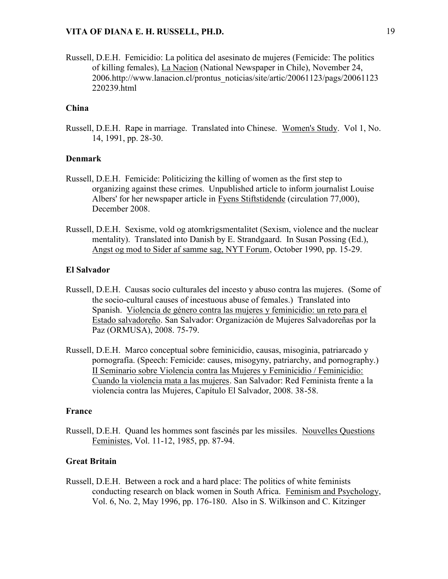Russell, D.E.H. Femicidio: La politica del asesinato de mujeres (Femicide: The politics of killing females), La Nacion (National Newspaper in Chile), November 24, 2006.http://www.lanacion.cl/prontus\_noticias/site/artic/20061123/pags/20061123 220239.html

# **China**

Russell, D.E.H. Rape in marriage. Translated into Chinese. Women's Study. Vol 1, No. 14, 1991, pp. 28-30.

#### **Denmark**

- Russell, D.E.H. Femicide: Politicizing the killing of women as the first step to organizing against these crimes. Unpublished article to inform journalist Louise Albers' for her newspaper article in Fyens Stiftstidende (circulation 77,000), December 2008.
- Russell, D.E.H. Sexisme, vold og atomkrigsmentalitet (Sexism, violence and the nuclear mentality). Translated into Danish by E. Strandgaard. In Susan Possing (Ed.), Angst og mod to Sider af samme sag, NYT Forum, October 1990, pp. 15-29.

#### **El Salvador**

- Russell, D.E.H. Causas socio culturales del incesto y abuso contra las mujeres. (Some of the socio-cultural causes of incestuous abuse of females.) Translated into Spanish. Violencia de género contra las mujeres y feminicidio: un reto para el Estado salvadoreño. San Salvador: Organización de Mujeres Salvadoreñas por la Paz (ORMUSA), 2008. 75-79.
- Russell, D.E.H. Marco conceptual sobre feminicidio, causas, misoginia, patriarcado y pornografía. (Speech: Femicide: causes, misogyny, patriarchy, and pornography.) II Seminario sobre Violencia contra las Mujeres y Feminicidio / Feminicidio: Cuando la violencia mata a las mujeres. San Salvador: Red Feminista frente a la violencia contra las Mujeres, Capítulo El Salvador, 2008. 38-58.

#### **France**

Russell, D.E.H. Quand les hommes sont fascinés par les missiles. Nouvelles Questions Feministes, Vol. 11-12, 1985, pp. 87-94.

#### **Great Britain**

Russell, D.E.H. Between a rock and a hard place: The politics of white feminists conducting research on black women in South Africa. Feminism and Psychology, Vol. 6, No. 2, May 1996, pp. 176-180. Also in S. Wilkinson and C. Kitzinger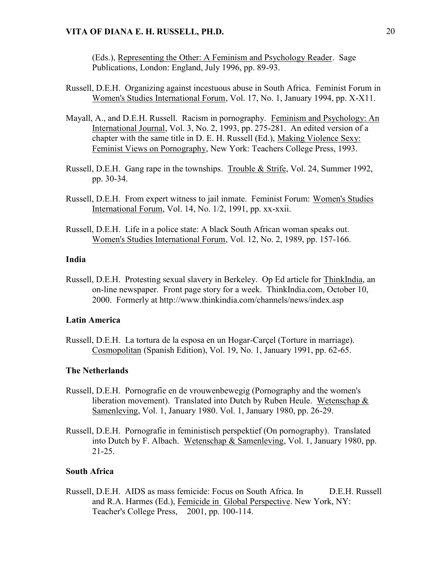(Eds.), Representing the Other: A Feminism and Psychology Reader. Sage Publications, London: England, July 1996, pp. 89-93.

- Russell, D.E.H. Organizing against incestuous abuse in South Africa. Feminist Forum in Women's Studies International Forum, Vol. 17, No. 1, January 1994, pp. X-X11.
- Mayall, A., and D.E.H. Russell. Racism in pornography. Feminism and Psychology: An International Journal, Vol. 3, No. 2, 1993, pp. 275-281. An edited version of a chapter with the same title in D. E. H. Russell (Ed.), Making Violence Sexy: Feminist Views on Pornography, New York: Teachers College Press, 1993.
- Russell, D.E.H. Gang rape in the townships. Trouble & Strife, Vol. 24, Summer 1992, pp. 30-34.
- Russell, D.E.H. From expert witness to jail inmate. Feminist Forum: Women's Studies International Forum, Vol. 14, No. 1/2, 1991, pp. xx-xxii.
- Russell, D.E.H. Life in a police state: A black South African woman speaks out. Women's Studies International Forum, Vol. 12, No. 2, 1989, pp. 157-166.

### **India**

Russell, D.E.H. Protesting sexual slavery in Berkeley. Op Ed article for ThinkIndia, an on-line newspaper. Front page story for a week. ThinkIndia.com, October 10, 2000. Formerly at http://www.thinkindia.com/channels/news/index.asp

#### **Latin America**

Russell, D.E.H. La tortura de la esposa en un Hogar-Carçel (Torture in marriage). Cosmopolitan (Spanish Edition), Vol. 19, No. 1, January 1991, pp. 62-65.

#### **The Netherlands**

- Russell, D.E.H. Pornografie en de vrouwenbewegig (Pornography and the women's liberation movement). Translated into Dutch by Ruben Heule. Wetenschap & Samenleving, Vol. 1, January 1980. Vol. 1, January 1980, pp. 26-29.
- Russell, D.E.H. Pornografie in feministisch perspektief (On pornography). Translated into Dutch by F. Albach. Wetenschap & Samenleving, Vol. 1, January 1980, pp. 21-25.

#### **South Africa**

Russell, D.E.H. AIDS as mass femicide: Focus on South Africa. In D.E.H. Russell and R.A. Harmes (Ed.), Femicide in Global Perspective. New York, NY: Teacher's College Press, 2001, pp. 100-114.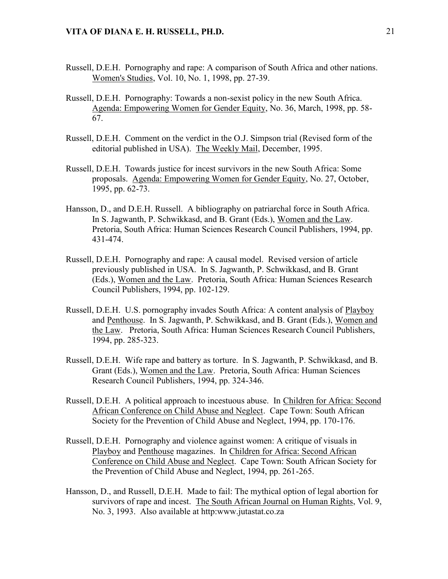- Russell, D.E.H. Pornography and rape: A comparison of South Africa and other nations. Women's Studies, Vol. 10, No. 1, 1998, pp. 27-39.
- Russell, D.E.H. Pornography: Towards a non-sexist policy in the new South Africa. Agenda: Empowering Women for Gender Equity, No. 36, March, 1998, pp. 58- 67.
- Russell, D.E.H. Comment on the verdict in the O.J. Simpson trial (Revised form of the editorial published in USA). The Weekly Mail, December, 1995.
- Russell, D.E.H. Towards justice for incest survivors in the new South Africa: Some proposals. Agenda: Empowering Women for Gender Equity, No. 27, October, 1995, pp. 62-73.
- Hansson, D., and D.E.H. Russell. A bibliography on patriarchal force in South Africa. In S. Jagwanth, P. Schwikkasd, and B. Grant (Eds.), Women and the Law. Pretoria, South Africa: Human Sciences Research Council Publishers, 1994, pp. 431-474.
- Russell, D.E.H. Pornography and rape: A causal model. Revised version of article previously published in USA. In S. Jagwanth, P. Schwikkasd, and B. Grant (Eds.), Women and the Law. Pretoria, South Africa: Human Sciences Research Council Publishers, 1994, pp. 102-129.
- Russell, D.E.H. U.S. pornography invades South Africa: A content analysis of Playboy and Penthouse. In S. Jagwanth, P. Schwikkasd, and B. Grant (Eds.), Women and the Law. Pretoria, South Africa: Human Sciences Research Council Publishers, 1994, pp. 285-323.
- Russell, D.E.H. Wife rape and battery as torture. In S. Jagwanth, P. Schwikkasd, and B. Grant (Eds.), Women and the Law. Pretoria, South Africa: Human Sciences Research Council Publishers, 1994, pp. 324-346.
- Russell, D.E.H. A political approach to incestuous abuse. In Children for Africa: Second African Conference on Child Abuse and Neglect. Cape Town: South African Society for the Prevention of Child Abuse and Neglect, 1994, pp. 170-176.
- Russell, D.E.H. Pornography and violence against women: A critique of visuals in Playboy and Penthouse magazines. In Children for Africa: Second African Conference on Child Abuse and Neglect. Cape Town: South African Society for the Prevention of Child Abuse and Neglect, 1994, pp. 261-265.
- Hansson, D., and Russell, D.E.H. Made to fail: The mythical option of legal abortion for survivors of rape and incest. The South African Journal on Human Rights, Vol. 9, No. 3, 1993. Also available at http:www.jutastat.co.za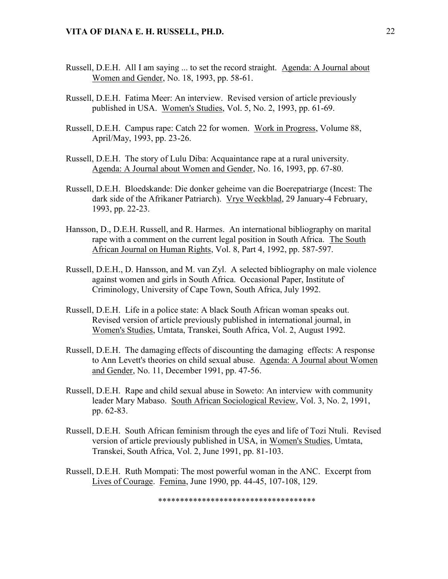- Russell, D.E.H. All I am saying ... to set the record straight. Agenda: A Journal about Women and Gender, No. 18, 1993, pp. 58-61.
- Russell, D.E.H. Fatima Meer: An interview. Revised version of article previously published in USA. Women's Studies, Vol. 5, No. 2, 1993, pp. 61-69.
- Russell, D.E.H. Campus rape: Catch 22 for women. Work in Progress, Volume 88, April/May, 1993, pp. 23-26.
- Russell, D.E.H. The story of Lulu Diba: Acquaintance rape at a rural university. Agenda: A Journal about Women and Gender, No. 16, 1993, pp. 67-80.
- Russell, D.E.H. Bloedskande: Die donker geheime van die Boerepatriarge (Incest: The dark side of the Afrikaner Patriarch). Vrye Weekblad, 29 January-4 February, 1993, pp. 22-23.
- Hansson, D., D.E.H. Russell, and R. Harmes. An international bibliography on marital rape with a comment on the current legal position in South Africa. The South African Journal on Human Rights, Vol. 8, Part 4, 1992, pp. 587-597.
- Russell, D.E.H., D. Hansson, and M. van Zyl. A selected bibliography on male violence against women and girls in South Africa. Occasional Paper, Institute of Criminology, University of Cape Town, South Africa, July 1992.
- Russell, D.E.H. Life in a police state: A black South African woman speaks out. Revised version of article previously published in international journal, in Women's Studies, Umtata, Transkei, South Africa, Vol. 2, August 1992.
- Russell, D.E.H. The damaging effects of discounting the damaging effects: A response to Ann Levett's theories on child sexual abuse. Agenda: A Journal about Women and Gender, No. 11, December 1991, pp. 47-56.
- Russell, D.E.H. Rape and child sexual abuse in Soweto: An interview with community leader Mary Mabaso. South African Sociological Review, Vol. 3, No. 2, 1991, pp. 62-83.
- Russell, D.E.H. South African feminism through the eyes and life of Tozi Ntuli. Revised version of article previously published in USA, in Women's Studies, Umtata, Transkei, South Africa, Vol. 2, June 1991, pp. 81-103.
- Russell, D.E.H. Ruth Mompati: The most powerful woman in the ANC. Excerpt from Lives of Courage. Femina, June 1990, pp. 44-45, 107-108, 129.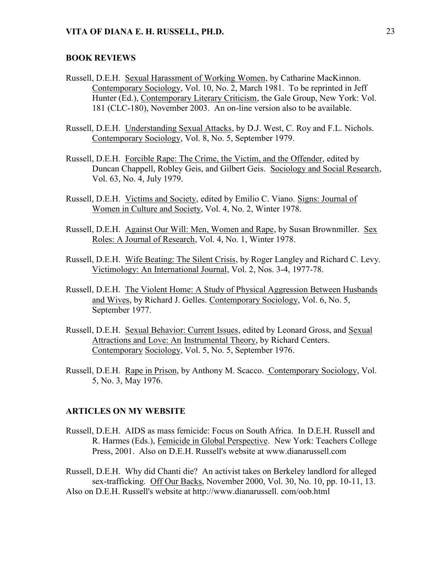#### **BOOK REVIEWS**

- Russell, D.E.H. Sexual Harassment of Working Women, by Catharine MacKinnon. Contemporary Sociology, Vol. 10, No. 2, March 1981. To be reprinted in Jeff Hunter (Ed.), Contemporary Literary Criticism, the Gale Group, New York: Vol. 181 (CLC-180), November 2003. An on-line version also to be available.
- Russell, D.E.H. Understanding Sexual Attacks, by D.J. West, C. Roy and F.L. Nichols. Contemporary Sociology, Vol. 8, No. 5, September 1979.
- Russell, D.E.H. Forcible Rape: The Crime, the Victim, and the Offender, edited by Duncan Chappell, Robley Geis, and Gilbert Geis. Sociology and Social Research, Vol. 63, No. 4, July 1979.
- Russell, D.E.H. Victims and Society, edited by Emilio C. Viano. Signs: Journal of Women in Culture and Society, Vol. 4, No. 2, Winter 1978.
- Russell, D.E.H. Against Our Will: Men, Women and Rape, by Susan Brownmiller. Sex Roles: A Journal of Research, Vol. 4, No. 1, Winter 1978.
- Russell, D.E.H. Wife Beating: The Silent Crisis, by Roger Langley and Richard C. Levy. Victimology: An International Journal, Vol. 2, Nos. 3-4, 1977-78.
- Russell, D.E.H. The Violent Home: A Study of Physical Aggression Between Husbands and Wives, by Richard J. Gelles. Contemporary Sociology, Vol. 6, No. 5, September 1977.
- Russell, D.E.H. Sexual Behavior: Current Issues, edited by Leonard Gross, and Sexual Attractions and Love: An Instrumental Theory, by Richard Centers. Contemporary Sociology, Vol. 5, No. 5, September 1976.
- Russell, D.E.H. Rape in Prison, by Anthony M. Scacco. Contemporary Sociology, Vol. 5, No. 3, May 1976.

#### **ARTICLES ON MY WEBSITE**

Russell, D.E.H. AIDS as mass femicide: Focus on South Africa. In D.E.H. Russell and R. Harmes (Eds.), Femicide in Global Perspective. New York: Teachers College Press, 2001. Also on D.E.H. Russell's website at www.dianarussell.com

Russell, D.E.H. Why did Chanti die? An activist takes on Berkeley landlord for alleged sex-trafficking. Off Our Backs, November 2000, Vol. 30, No. 10, pp. 10-11, 13.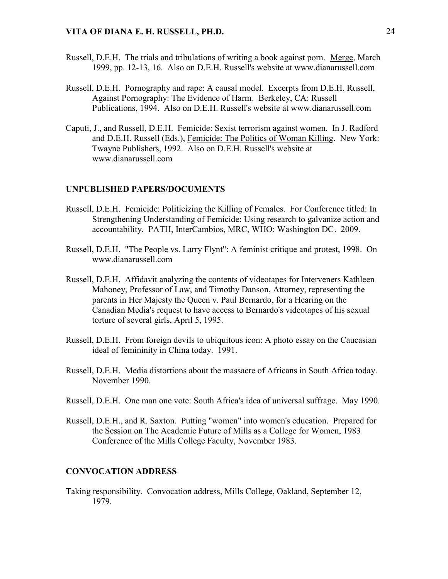- Russell, D.E.H. The trials and tribulations of writing a book against porn. Merge, March 1999, pp. 12-13, 16. Also on D.E.H. Russell's website at www.dianarussell.com
- Russell, D.E.H. Pornography and rape: A causal model. Excerpts from D.E.H. Russell, Against Pornography: The Evidence of Harm. Berkeley, CA: Russell Publications, 1994. Also on D.E.H. Russell's website at www.dianarussell.com
- Caputi, J., and Russell, D.E.H. Femicide: Sexist terrorism against women. In J. Radford and D.E.H. Russell (Eds.), Femicide: The Politics of Woman Killing. New York: Twayne Publishers, 1992. Also on D.E.H. Russell's website at www.dianarussell.com

### **UNPUBLISHED PAPERS/DOCUMENTS**

- Russell, D.E.H. Femicide: Politicizing the Killing of Females. For Conference titled: In Strengthening Understanding of Femicide: Using research to galvanize action and accountability. PATH, InterCambios, MRC, WHO: Washington DC. 2009.
- Russell, D.E.H. "The People vs. Larry Flynt": A feminist critique and protest, 1998. On www.dianarussell.com
- Russell, D.E.H. Affidavit analyzing the contents of videotapes for Interveners Kathleen Mahoney, Professor of Law, and Timothy Danson, Attorney, representing the parents in Her Majesty the Queen v. Paul Bernardo, for a Hearing on the Canadian Media's request to have access to Bernardo's videotapes of his sexual torture of several girls, April 5, 1995.
- Russell, D.E.H. From foreign devils to ubiquitous icon: A photo essay on the Caucasian ideal of femininity in China today. 1991.
- Russell, D.E.H. Media distortions about the massacre of Africans in South Africa today. November 1990.
- Russell, D.E.H. One man one vote: South Africa's idea of universal suffrage. May 1990.
- Russell, D.E.H., and R. Saxton. Putting "women" into women's education. Prepared for the Session on The Academic Future of Mills as a College for Women, 1983 Conference of the Mills College Faculty, November 1983.

#### **CONVOCATION ADDRESS**

Taking responsibility. Convocation address, Mills College, Oakland, September 12, 1979.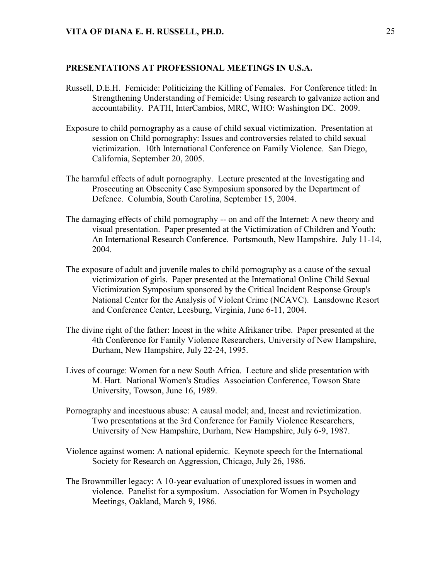#### **PRESENTATIONS AT PROFESSIONAL MEETINGS IN U.S.A.**

- Russell, D.E.H. Femicide: Politicizing the Killing of Females. For Conference titled: In Strengthening Understanding of Femicide: Using research to galvanize action and accountability. PATH, InterCambios, MRC, WHO: Washington DC. 2009.
- Exposure to child pornography as a cause of child sexual victimization. Presentation at session on Child pornography: Issues and controversies related to child sexual victimization. 10th International Conference on Family Violence. San Diego, California, September 20, 2005.
- The harmful effects of adult pornography. Lecture presented at the Investigating and Prosecuting an Obscenity Case Symposium sponsored by the Department of Defence. Columbia, South Carolina, September 15, 2004.
- The damaging effects of child pornography -- on and off the Internet: A new theory and visual presentation. Paper presented at the Victimization of Children and Youth: An International Research Conference. Portsmouth, New Hampshire. July 11-14, 2004.
- The exposure of adult and juvenile males to child pornography as a cause of the sexual victimization of girls. Paper presented at the International Online Child Sexual Victimization Symposium sponsored by the Critical Incident Response Group's National Center for the Analysis of Violent Crime (NCAVC). Lansdowne Resort and Conference Center, Leesburg, Virginia, June 6-11, 2004.
- The divine right of the father: Incest in the white Afrikaner tribe. Paper presented at the 4th Conference for Family Violence Researchers, University of New Hampshire, Durham, New Hampshire, July 22-24, 1995.
- Lives of courage: Women for a new South Africa. Lecture and slide presentation with M. Hart. National Women's Studies Association Conference, Towson State University, Towson, June 16, 1989.
- Pornography and incestuous abuse: A causal model; and, Incest and revictimization. Two presentations at the 3rd Conference for Family Violence Researchers, University of New Hampshire, Durham, New Hampshire, July 6-9, 1987.
- Violence against women: A national epidemic. Keynote speech for the International Society for Research on Aggression, Chicago, July 26, 1986.
- The Brownmiller legacy: A 10-year evaluation of unexplored issues in women and violence. Panelist for a symposium. Association for Women in Psychology Meetings, Oakland, March 9, 1986.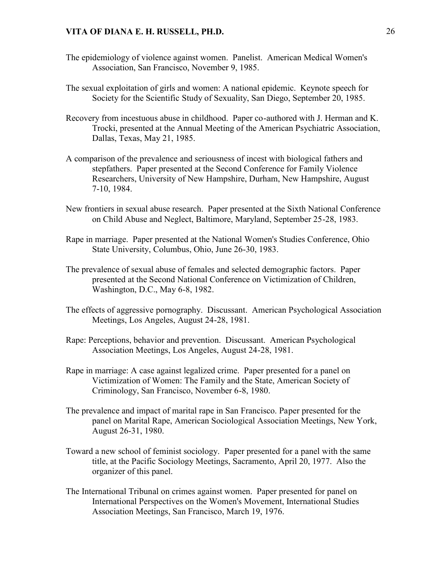- The epidemiology of violence against women. Panelist. American Medical Women's Association, San Francisco, November 9, 1985.
- The sexual exploitation of girls and women: A national epidemic. Keynote speech for Society for the Scientific Study of Sexuality, San Diego, September 20, 1985.
- Recovery from incestuous abuse in childhood. Paper co-authored with J. Herman and K. Trocki, presented at the Annual Meeting of the American Psychiatric Association, Dallas, Texas, May 21, 1985.
- A comparison of the prevalence and seriousness of incest with biological fathers and stepfathers. Paper presented at the Second Conference for Family Violence Researchers, University of New Hampshire, Durham, New Hampshire, August 7-10, 1984.
- New frontiers in sexual abuse research. Paper presented at the Sixth National Conference on Child Abuse and Neglect, Baltimore, Maryland, September 25-28, 1983.
- Rape in marriage. Paper presented at the National Women's Studies Conference, Ohio State University, Columbus, Ohio, June 26-30, 1983.
- The prevalence of sexual abuse of females and selected demographic factors. Paper presented at the Second National Conference on Victimization of Children, Washington, D.C., May 6-8, 1982.
- The effects of aggressive pornography. Discussant. American Psychological Association Meetings, Los Angeles, August 24-28, 1981.
- Rape: Perceptions, behavior and prevention. Discussant. American Psychological Association Meetings, Los Angeles, August 24-28, 1981.
- Rape in marriage: A case against legalized crime. Paper presented for a panel on Victimization of Women: The Family and the State, American Society of Criminology, San Francisco, November 6-8, 1980.
- The prevalence and impact of marital rape in San Francisco. Paper presented for the panel on Marital Rape, American Sociological Association Meetings, New York, August 26-31, 1980.
- Toward a new school of feminist sociology. Paper presented for a panel with the same title, at the Pacific Sociology Meetings, Sacramento, April 20, 1977. Also the organizer of this panel.
- The International Tribunal on crimes against women. Paper presented for panel on International Perspectives on the Women's Movement, International Studies Association Meetings, San Francisco, March 19, 1976.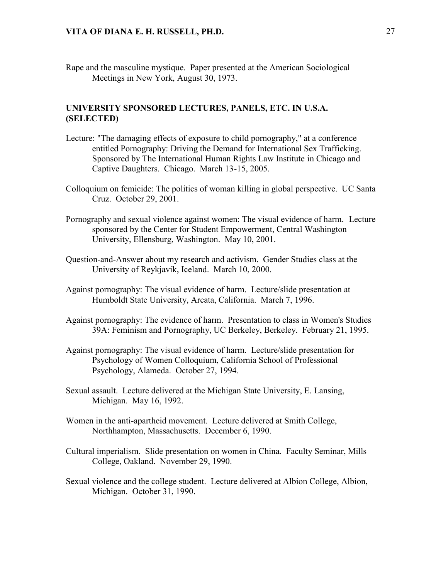Rape and the masculine mystique. Paper presented at the American Sociological Meetings in New York, August 30, 1973.

## **UNIVERSITY SPONSORED LECTURES, PANELS, ETC. IN U.S.A. (SELECTED)**

- Lecture: "The damaging effects of exposure to child pornography," at a conference entitled Pornography: Driving the Demand for International Sex Trafficking. Sponsored by The International Human Rights Law Institute in Chicago and Captive Daughters. Chicago. March 13-15, 2005.
- Colloquium on femicide: The politics of woman killing in global perspective. UC Santa Cruz. October 29, 2001.
- Pornography and sexual violence against women: The visual evidence of harm. Lecture sponsored by the Center for Student Empowerment, Central Washington University, Ellensburg, Washington. May 10, 2001.
- Question-and-Answer about my research and activism. Gender Studies class at the University of Reykjavik, Iceland. March 10, 2000.
- Against pornography: The visual evidence of harm. Lecture/slide presentation at Humboldt State University, Arcata, California. March 7, 1996.
- Against pornography: The evidence of harm. Presentation to class in Women's Studies 39A: Feminism and Pornography, UC Berkeley, Berkeley. February 21, 1995.
- Against pornography: The visual evidence of harm. Lecture/slide presentation for Psychology of Women Colloquium, California School of Professional Psychology, Alameda. October 27, 1994.
- Sexual assault. Lecture delivered at the Michigan State University, E. Lansing, Michigan. May 16, 1992.
- Women in the anti-apartheid movement. Lecture delivered at Smith College, Northhampton, Massachusetts. December 6, 1990.
- Cultural imperialism. Slide presentation on women in China. Faculty Seminar, Mills College, Oakland. November 29, 1990.
- Sexual violence and the college student. Lecture delivered at Albion College, Albion, Michigan. October 31, 1990.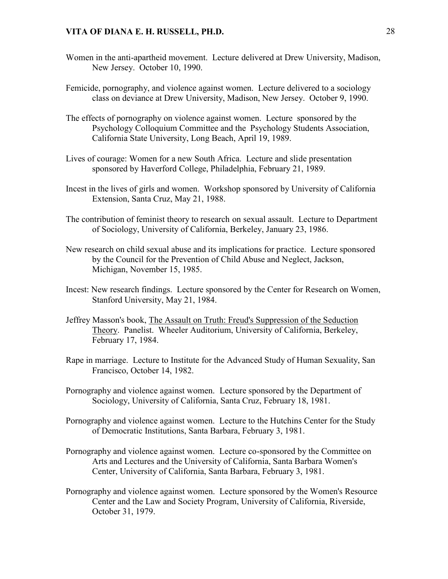- Women in the anti-apartheid movement. Lecture delivered at Drew University, Madison, New Jersey. October 10, 1990.
- Femicide, pornography, and violence against women. Lecture delivered to a sociology class on deviance at Drew University, Madison, New Jersey. October 9, 1990.
- The effects of pornography on violence against women. Lecture sponsored by the Psychology Colloquium Committee and the Psychology Students Association, California State University, Long Beach, April 19, 1989.
- Lives of courage: Women for a new South Africa. Lecture and slide presentation sponsored by Haverford College, Philadelphia, February 21, 1989.
- Incest in the lives of girls and women. Workshop sponsored by University of California Extension, Santa Cruz, May 21, 1988.
- The contribution of feminist theory to research on sexual assault. Lecture to Department of Sociology, University of California, Berkeley, January 23, 1986.
- New research on child sexual abuse and its implications for practice. Lecture sponsored by the Council for the Prevention of Child Abuse and Neglect, Jackson, Michigan, November 15, 1985.
- Incest: New research findings. Lecture sponsored by the Center for Research on Women, Stanford University, May 21, 1984.
- Jeffrey Masson's book, The Assault on Truth: Freud's Suppression of the Seduction Theory. Panelist. Wheeler Auditorium, University of California, Berkeley, February 17, 1984.
- Rape in marriage. Lecture to Institute for the Advanced Study of Human Sexuality, San Francisco, October 14, 1982.
- Pornography and violence against women. Lecture sponsored by the Department of Sociology, University of California, Santa Cruz, February 18, 1981.
- Pornography and violence against women. Lecture to the Hutchins Center for the Study of Democratic Institutions, Santa Barbara, February 3, 1981.
- Pornography and violence against women. Lecture co-sponsored by the Committee on Arts and Lectures and the University of California, Santa Barbara Women's Center, University of California, Santa Barbara, February 3, 1981.
- Pornography and violence against women. Lecture sponsored by the Women's Resource Center and the Law and Society Program, University of California, Riverside, October 31, 1979.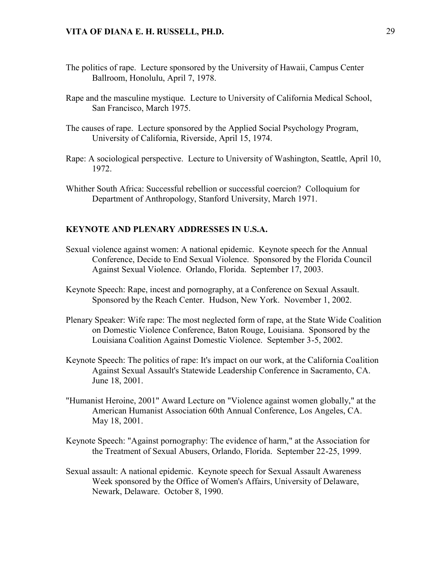- The politics of rape. Lecture sponsored by the University of Hawaii, Campus Center Ballroom, Honolulu, April 7, 1978.
- Rape and the masculine mystique. Lecture to University of California Medical School, San Francisco, March 1975.
- The causes of rape. Lecture sponsored by the Applied Social Psychology Program, University of California, Riverside, April 15, 1974.
- Rape: A sociological perspective. Lecture to University of Washington, Seattle, April 10, 1972.
- Whither South Africa: Successful rebellion or successful coercion? Colloquium for Department of Anthropology, Stanford University, March 1971.

### **KEYNOTE AND PLENARY ADDRESSES IN U.S.A.**

- Sexual violence against women: A national epidemic. Keynote speech for the Annual Conference, Decide to End Sexual Violence. Sponsored by the Florida Council Against Sexual Violence. Orlando, Florida. September 17, 2003.
- Keynote Speech: Rape, incest and pornography, at a Conference on Sexual Assault. Sponsored by the Reach Center. Hudson, New York. November 1, 2002.
- Plenary Speaker: Wife rape: The most neglected form of rape, at the State Wide Coalition on Domestic Violence Conference, Baton Rouge, Louisiana. Sponsored by the Louisiana Coalition Against Domestic Violence. September 3-5, 2002.
- Keynote Speech: The politics of rape: It's impact on our work, at the California Coalition Against Sexual Assault's Statewide Leadership Conference in Sacramento, CA. June 18, 2001.
- "Humanist Heroine, 2001" Award Lecture on "Violence against women globally," at the American Humanist Association 60th Annual Conference, Los Angeles, CA. May 18, 2001.
- Keynote Speech: "Against pornography: The evidence of harm," at the Association for the Treatment of Sexual Abusers, Orlando, Florida. September 22-25, 1999.
- Sexual assault: A national epidemic. Keynote speech for Sexual Assault Awareness Week sponsored by the Office of Women's Affairs, University of Delaware, Newark, Delaware. October 8, 1990.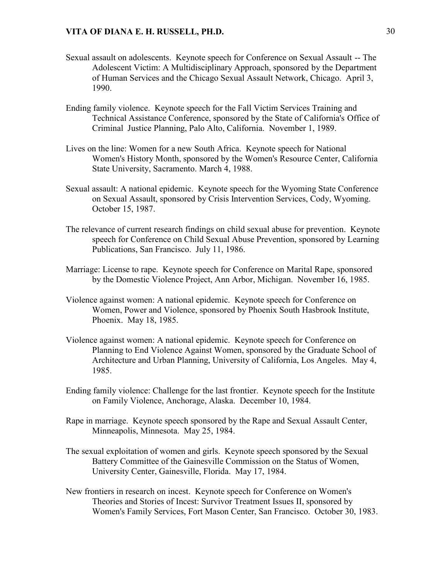- Sexual assault on adolescents. Keynote speech for Conference on Sexual Assault -- The Adolescent Victim: A Multidisciplinary Approach, sponsored by the Department of Human Services and the Chicago Sexual Assault Network, Chicago. April 3, 1990.
- Ending family violence. Keynote speech for the Fall Victim Services Training and Technical Assistance Conference, sponsored by the State of California's Office of Criminal Justice Planning, Palo Alto, California. November 1, 1989.
- Lives on the line: Women for a new South Africa. Keynote speech for National Women's History Month, sponsored by the Women's Resource Center, California State University, Sacramento. March 4, 1988.
- Sexual assault: A national epidemic. Keynote speech for the Wyoming State Conference on Sexual Assault, sponsored by Crisis Intervention Services, Cody, Wyoming. October 15, 1987.
- The relevance of current research findings on child sexual abuse for prevention. Keynote speech for Conference on Child Sexual Abuse Prevention, sponsored by Learning Publications, San Francisco. July 11, 1986.
- Marriage: License to rape. Keynote speech for Conference on Marital Rape, sponsored by the Domestic Violence Project, Ann Arbor, Michigan. November 16, 1985.
- Violence against women: A national epidemic. Keynote speech for Conference on Women, Power and Violence, sponsored by Phoenix South Hasbrook Institute, Phoenix. May 18, 1985.
- Violence against women: A national epidemic. Keynote speech for Conference on Planning to End Violence Against Women, sponsored by the Graduate School of Architecture and Urban Planning, University of California, Los Angeles. May 4, 1985.
- Ending family violence: Challenge for the last frontier. Keynote speech for the Institute on Family Violence, Anchorage, Alaska. December 10, 1984.
- Rape in marriage. Keynote speech sponsored by the Rape and Sexual Assault Center, Minneapolis, Minnesota. May 25, 1984.
- The sexual exploitation of women and girls. Keynote speech sponsored by the Sexual Battery Committee of the Gainesville Commission on the Status of Women, University Center, Gainesville, Florida. May 17, 1984.
- New frontiers in research on incest. Keynote speech for Conference on Women's Theories and Stories of Incest: Survivor Treatment Issues II, sponsored by Women's Family Services, Fort Mason Center, San Francisco. October 30, 1983.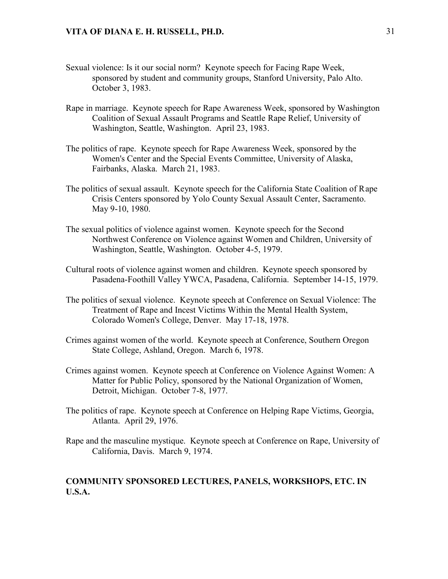- Sexual violence: Is it our social norm? Keynote speech for Facing Rape Week, sponsored by student and community groups, Stanford University, Palo Alto. October 3, 1983.
- Rape in marriage. Keynote speech for Rape Awareness Week, sponsored by Washington Coalition of Sexual Assault Programs and Seattle Rape Relief, University of Washington, Seattle, Washington. April 23, 1983.
- The politics of rape. Keynote speech for Rape Awareness Week, sponsored by the Women's Center and the Special Events Committee, University of Alaska, Fairbanks, Alaska. March 21, 1983.
- The politics of sexual assault. Keynote speech for the California State Coalition of Rape Crisis Centers sponsored by Yolo County Sexual Assault Center, Sacramento. May 9-10, 1980.
- The sexual politics of violence against women. Keynote speech for the Second Northwest Conference on Violence against Women and Children, University of Washington, Seattle, Washington. October 4-5, 1979.
- Cultural roots of violence against women and children. Keynote speech sponsored by Pasadena-Foothill Valley YWCA, Pasadena, California. September 14-15, 1979.
- The politics of sexual violence. Keynote speech at Conference on Sexual Violence: The Treatment of Rape and Incest Victims Within the Mental Health System, Colorado Women's College, Denver. May 17-18, 1978.
- Crimes against women of the world. Keynote speech at Conference, Southern Oregon State College, Ashland, Oregon. March 6, 1978.
- Crimes against women. Keynote speech at Conference on Violence Against Women: A Matter for Public Policy, sponsored by the National Organization of Women, Detroit, Michigan. October 7-8, 1977.
- The politics of rape. Keynote speech at Conference on Helping Rape Victims, Georgia, Atlanta. April 29, 1976.
- Rape and the masculine mystique. Keynote speech at Conference on Rape, University of California, Davis. March 9, 1974.

### **COMMUNITY SPONSORED LECTURES, PANELS, WORKSHOPS, ETC. IN U.S.A.**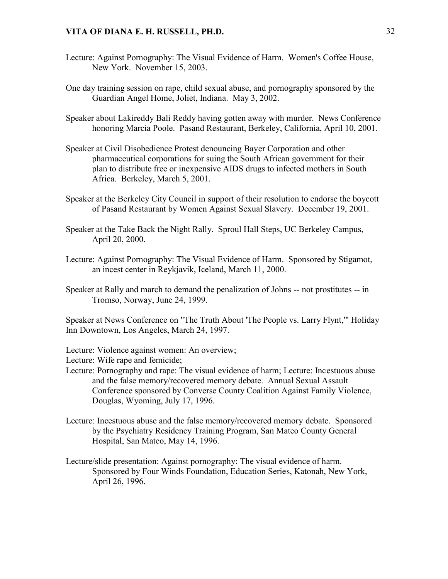- Lecture: Against Pornography: The Visual Evidence of Harm. Women's Coffee House, New York. November 15, 2003.
- One day training session on rape, child sexual abuse, and pornography sponsored by the Guardian Angel Home, Joliet, Indiana. May 3, 2002.
- Speaker about Lakireddy Bali Reddy having gotten away with murder. News Conference honoring Marcia Poole. Pasand Restaurant, Berkeley, California, April 10, 2001.
- Speaker at Civil Disobedience Protest denouncing Bayer Corporation and other pharmaceutical corporations for suing the South African government for their plan to distribute free or inexpensive AIDS drugs to infected mothers in South Africa. Berkeley, March 5, 2001.
- Speaker at the Berkeley City Council in support of their resolution to endorse the boycott of Pasand Restaurant by Women Against Sexual Slavery. December 19, 2001.
- Speaker at the Take Back the Night Rally. Sproul Hall Steps, UC Berkeley Campus, April 20, 2000.
- Lecture: Against Pornography: The Visual Evidence of Harm. Sponsored by Stigamot, an incest center in Reykjavik, Iceland, March 11, 2000.
- Speaker at Rally and march to demand the penalization of Johns -- not prostitutes -- in Tromso, Norway, June 24, 1999.

Speaker at News Conference on "The Truth About 'The People vs. Larry Flynt,'" Holiday Inn Downtown, Los Angeles, March 24, 1997.

Lecture: Violence against women: An overview;

Lecture: Wife rape and femicide;

- Lecture: Pornography and rape: The visual evidence of harm; Lecture: Incestuous abuse and the false memory/recovered memory debate. Annual Sexual Assault Conference sponsored by Converse County Coalition Against Family Violence, Douglas, Wyoming, July 17, 1996.
- Lecture: Incestuous abuse and the false memory/recovered memory debate. Sponsored by the Psychiatry Residency Training Program, San Mateo County General Hospital, San Mateo, May 14, 1996.
- Lecture/slide presentation: Against pornography: The visual evidence of harm. Sponsored by Four Winds Foundation, Education Series, Katonah, New York, April 26, 1996.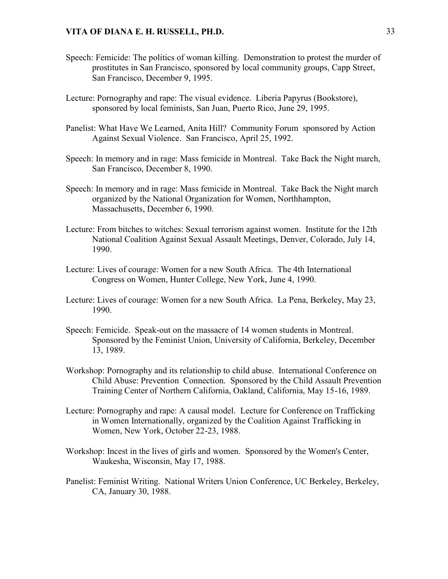- Speech: Femicide: The politics of woman killing. Demonstration to protest the murder of prostitutes in San Francisco, sponsored by local community groups, Capp Street, San Francisco, December 9, 1995.
- Lecture: Pornography and rape: The visual evidence. Liberia Papyrus (Bookstore), sponsored by local feminists, San Juan, Puerto Rico, June 29, 1995.
- Panelist: What Have We Learned, Anita Hill? Community Forum sponsored by Action Against Sexual Violence. San Francisco, April 25, 1992.
- Speech: In memory and in rage: Mass femicide in Montreal. Take Back the Night march, San Francisco, December 8, 1990.
- Speech: In memory and in rage: Mass femicide in Montreal. Take Back the Night march organized by the National Organization for Women, Northhampton, Massachusetts, December 6, 1990.
- Lecture: From bitches to witches: Sexual terrorism against women. Institute for the 12th National Coalition Against Sexual Assault Meetings, Denver, Colorado, July 14, 1990.
- Lecture: Lives of courage: Women for a new South Africa. The 4th International Congress on Women, Hunter College, New York, June 4, 1990.
- Lecture: Lives of courage: Women for a new South Africa. La Pena, Berkeley, May 23, 1990.
- Speech: Femicide. Speak-out on the massacre of 14 women students in Montreal. Sponsored by the Feminist Union, University of California, Berkeley, December 13, 1989.
- Workshop: Pornography and its relationship to child abuse. International Conference on Child Abuse: Prevention Connection. Sponsored by the Child Assault Prevention Training Center of Northern California, Oakland, California, May 15-16, 1989.
- Lecture: Pornography and rape: A causal model. Lecture for Conference on Trafficking in Women Internationally, organized by the Coalition Against Trafficking in Women, New York, October 22-23, 1988.
- Workshop: Incest in the lives of girls and women. Sponsored by the Women's Center, Waukesha, Wisconsin, May 17, 1988.
- Panelist: Feminist Writing. National Writers Union Conference, UC Berkeley, Berkeley, CA, January 30, 1988.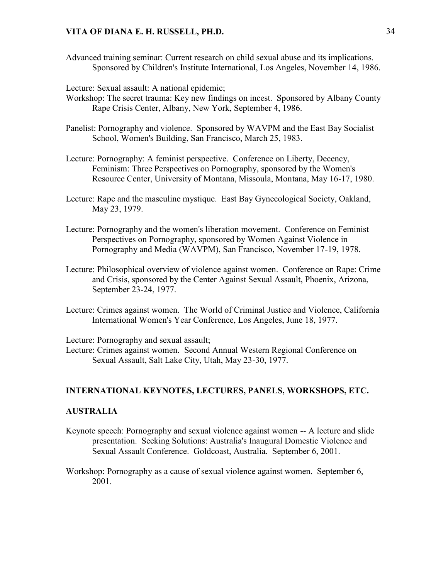Advanced training seminar: Current research on child sexual abuse and its implications. Sponsored by Children's Institute International, Los Angeles, November 14, 1986.

Lecture: Sexual assault: A national epidemic;

- Workshop: The secret trauma: Key new findings on incest. Sponsored by Albany County Rape Crisis Center, Albany, New York, September 4, 1986.
- Panelist: Pornography and violence. Sponsored by WAVPM and the East Bay Socialist School, Women's Building, San Francisco, March 25, 1983.
- Lecture: Pornography: A feminist perspective. Conference on Liberty, Decency, Feminism: Three Perspectives on Pornography, sponsored by the Women's Resource Center, University of Montana, Missoula, Montana, May 16-17, 1980.
- Lecture: Rape and the masculine mystique. East Bay Gynecological Society, Oakland, May 23, 1979.
- Lecture: Pornography and the women's liberation movement. Conference on Feminist Perspectives on Pornography, sponsored by Women Against Violence in Pornography and Media (WAVPM), San Francisco, November 17-19, 1978.
- Lecture: Philosophical overview of violence against women. Conference on Rape: Crime and Crisis, sponsored by the Center Against Sexual Assault, Phoenix, Arizona, September 23-24, 1977.
- Lecture: Crimes against women. The World of Criminal Justice and Violence, California International Women's Year Conference, Los Angeles, June 18, 1977.

Lecture: Pornography and sexual assault;

Lecture: Crimes against women. Second Annual Western Regional Conference on Sexual Assault, Salt Lake City, Utah, May 23-30, 1977.

# **INTERNATIONAL KEYNOTES, LECTURES, PANELS, WORKSHOPS, ETC.**

### **AUSTRALIA**

- Keynote speech: Pornography and sexual violence against women -- A lecture and slide presentation. Seeking Solutions: Australia's Inaugural Domestic Violence and Sexual Assault Conference. Goldcoast, Australia. September 6, 2001.
- Workshop: Pornography as a cause of sexual violence against women. September 6, 2001.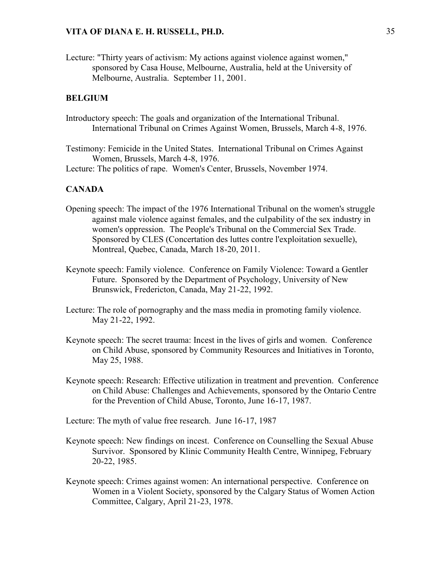Lecture: "Thirty years of activism: My actions against violence against women," sponsored by Casa House, Melbourne, Australia, held at the University of Melbourne, Australia. September 11, 2001.

# **BELGIUM**

- Introductory speech: The goals and organization of the International Tribunal. International Tribunal on Crimes Against Women, Brussels, March 4-8, 1976.
- Testimony: Femicide in the United States. International Tribunal on Crimes Against Women, Brussels, March 4-8, 1976.
- Lecture: The politics of rape. Women's Center, Brussels, November 1974.

### **CANADA**

- Opening speech: The impact of the 1976 International Tribunal on the women's struggle against male violence against females, and the culpability of the sex industry in women's oppression. The People's Tribunal on the Commercial Sex Trade. Sponsored by CLES (Concertation des luttes contre l'exploitation sexuelle), Montreal, Quebec, Canada, March 18-20, 2011.
- Keynote speech: Family violence. Conference on Family Violence: Toward a Gentler Future. Sponsored by the Department of Psychology, University of New Brunswick, Fredericton, Canada, May 21-22, 1992.
- Lecture: The role of pornography and the mass media in promoting family violence. May 21-22, 1992.
- Keynote speech: The secret trauma: Incest in the lives of girls and women. Conference on Child Abuse, sponsored by Community Resources and Initiatives in Toronto, May 25, 1988.
- Keynote speech: Research: Effective utilization in treatment and prevention. Conference on Child Abuse: Challenges and Achievements, sponsored by the Ontario Centre for the Prevention of Child Abuse, Toronto, June 16-17, 1987.

Lecture: The myth of value free research. June 16-17, 1987

- Keynote speech: New findings on incest. Conference on Counselling the Sexual Abuse Survivor. Sponsored by Klinic Community Health Centre, Winnipeg, February 20-22, 1985.
- Keynote speech: Crimes against women: An international perspective. Conference on Women in a Violent Society, sponsored by the Calgary Status of Women Action Committee, Calgary, April 21-23, 1978.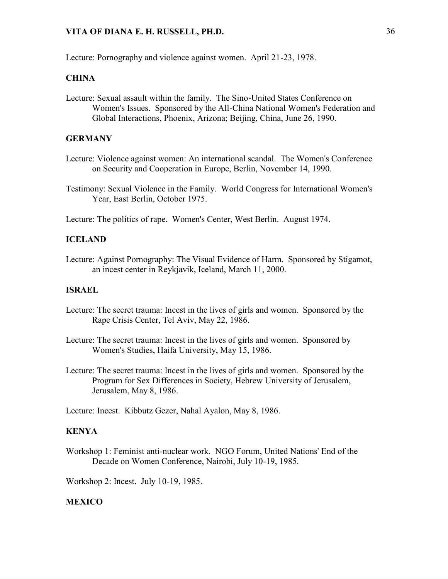Lecture: Pornography and violence against women. April 21-23, 1978.

# **CHINA**

Lecture: Sexual assault within the family. The Sino-United States Conference on Women's Issues. Sponsored by the All-China National Women's Federation and Global Interactions, Phoenix, Arizona; Beijing, China, June 26, 1990.

# **GERMANY**

- Lecture: Violence against women: An international scandal. The Women's Conference on Security and Cooperation in Europe, Berlin, November 14, 1990.
- Testimony: Sexual Violence in the Family. World Congress for International Women's Year, East Berlin, October 1975.

Lecture: The politics of rape. Women's Center, West Berlin. August 1974.

# **ICELAND**

Lecture: Against Pornography: The Visual Evidence of Harm. Sponsored by Stigamot, an incest center in Reykjavik, Iceland, March 11, 2000.

# **ISRAEL**

- Lecture: The secret trauma: Incest in the lives of girls and women. Sponsored by the Rape Crisis Center, Tel Aviv, May 22, 1986.
- Lecture: The secret trauma: Incest in the lives of girls and women. Sponsored by Women's Studies, Haifa University, May 15, 1986.
- Lecture: The secret trauma: Incest in the lives of girls and women. Sponsored by the Program for Sex Differences in Society, Hebrew University of Jerusalem, Jerusalem, May 8, 1986.

Lecture: Incest. Kibbutz Gezer, Nahal Ayalon, May 8, 1986.

## **KENYA**

Workshop 1: Feminist anti-nuclear work. NGO Forum, United Nations' End of the Decade on Women Conference, Nairobi, July 10-19, 1985.

Workshop 2: Incest. July 10-19, 1985.

#### **MEXICO**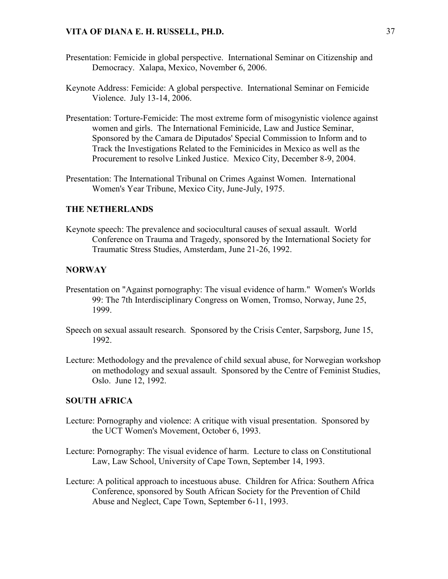- Presentation: Femicide in global perspective. International Seminar on Citizenship and Democracy. Xalapa, Mexico, November 6, 2006.
- Keynote Address: Femicide: A global perspective. International Seminar on Femicide Violence. July 13-14, 2006.
- Presentation: Torture-Femicide: The most extreme form of misogynistic violence against women and girls. The International Feminicide, Law and Justice Seminar, Sponsored by the Camara de Diputados' Special Commission to Inform and to Track the Investigations Related to the Feminicides in Mexico as well as the Procurement to resolve Linked Justice. Mexico City, December 8-9, 2004.
- Presentation: The International Tribunal on Crimes Against Women. International Women's Year Tribune, Mexico City, June-July, 1975.

## **THE NETHERLANDS**

Keynote speech: The prevalence and sociocultural causes of sexual assault. World Conference on Trauma and Tragedy, sponsored by the International Society for Traumatic Stress Studies, Amsterdam, June 21-26, 1992.

### **NORWAY**

- Presentation on "Against pornography: The visual evidence of harm." Women's Worlds 99: The 7th Interdisciplinary Congress on Women, Tromso, Norway, June 25, 1999.
- Speech on sexual assault research. Sponsored by the Crisis Center, Sarpsborg, June 15, 1992.
- Lecture: Methodology and the prevalence of child sexual abuse, for Norwegian workshop on methodology and sexual assault. Sponsored by the Centre of Feminist Studies, Oslo. June 12, 1992.

#### **SOUTH AFRICA**

- Lecture: Pornography and violence: A critique with visual presentation. Sponsored by the UCT Women's Movement, October 6, 1993.
- Lecture: Pornography: The visual evidence of harm. Lecture to class on Constitutional Law, Law School, University of Cape Town, September 14, 1993.
- Lecture: A political approach to incestuous abuse. Children for Africa: Southern Africa Conference, sponsored by South African Society for the Prevention of Child Abuse and Neglect, Cape Town, September 6-11, 1993.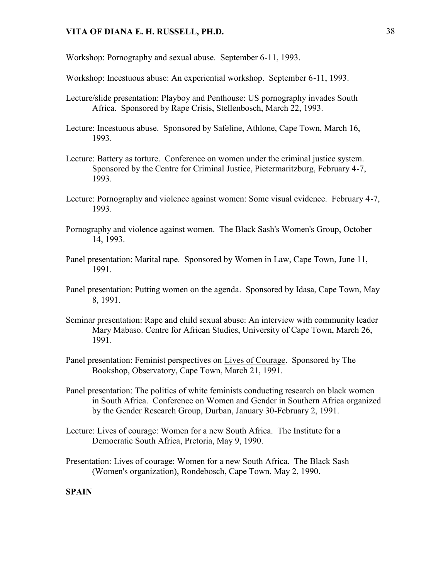Workshop: Pornography and sexual abuse. September 6-11, 1993.

Workshop: Incestuous abuse: An experiential workshop. September 6-11, 1993.

- Lecture/slide presentation: Playboy and Penthouse: US pornography invades South Africa. Sponsored by Rape Crisis, Stellenbosch, March 22, 1993.
- Lecture: Incestuous abuse. Sponsored by Safeline, Athlone, Cape Town, March 16, 1993.
- Lecture: Battery as torture. Conference on women under the criminal justice system. Sponsored by the Centre for Criminal Justice, Pietermaritzburg, February 4-7, 1993.
- Lecture: Pornography and violence against women: Some visual evidence. February 4-7, 1993.
- Pornography and violence against women. The Black Sash's Women's Group, October 14, 1993.
- Panel presentation: Marital rape. Sponsored by Women in Law, Cape Town, June 11, 1991.
- Panel presentation: Putting women on the agenda. Sponsored by Idasa, Cape Town, May 8, 1991.
- Seminar presentation: Rape and child sexual abuse: An interview with community leader Mary Mabaso. Centre for African Studies, University of Cape Town, March 26, 1991.
- Panel presentation: Feminist perspectives on Lives of Courage. Sponsored by The Bookshop, Observatory, Cape Town, March 21, 1991.
- Panel presentation: The politics of white feminists conducting research on black women in South Africa. Conference on Women and Gender in Southern Africa organized by the Gender Research Group, Durban, January 30-February 2, 1991.
- Lecture: Lives of courage: Women for a new South Africa. The Institute for a Democratic South Africa, Pretoria, May 9, 1990.
- Presentation: Lives of courage: Women for a new South Africa. The Black Sash (Women's organization), Rondebosch, Cape Town, May 2, 1990.

### **SPAIN**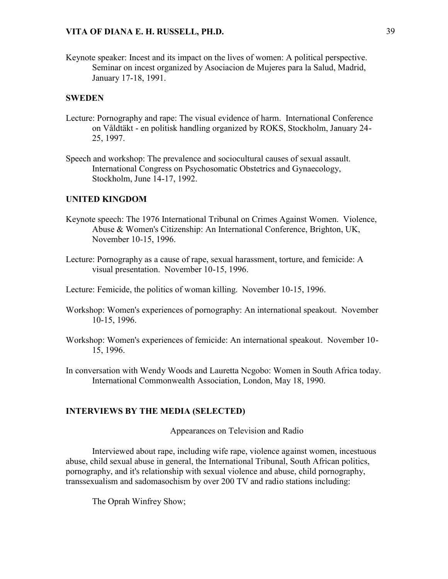Keynote speaker: Incest and its impact on the lives of women: A political perspective. Seminar on incest organized by Asociacion de Mujeres para la Salud, Madrid, January 17-18, 1991.

#### **SWEDEN**

- Lecture: Pornography and rape: The visual evidence of harm. International Conference on Våldtäkt - en politisk handling organized by ROKS, Stockholm, January 24- 25, 1997.
- Speech and workshop: The prevalence and sociocultural causes of sexual assault. International Congress on Psychosomatic Obstetrics and Gynaecology, Stockholm, June 14-17, 1992.

#### **UNITED KINGDOM**

- Keynote speech: The 1976 International Tribunal on Crimes Against Women. Violence, Abuse & Women's Citizenship: An International Conference, Brighton, UK, November 10-15, 1996.
- Lecture: Pornography as a cause of rape, sexual harassment, torture, and femicide: A visual presentation. November 10-15, 1996.

Lecture: Femicide, the politics of woman killing. November 10-15, 1996.

- Workshop: Women's experiences of pornography: An international speakout. November 10-15, 1996.
- Workshop: Women's experiences of femicide: An international speakout. November 10- 15, 1996.
- In conversation with Wendy Woods and Lauretta Ncgobo: Women in South Africa today. International Commonwealth Association, London, May 18, 1990.

### **INTERVIEWS BY THE MEDIA (SELECTED)**

Appearances on Television and Radio

Interviewed about rape, including wife rape, violence against women, incestuous abuse, child sexual abuse in general, the International Tribunal, South African politics, pornography, and it's relationship with sexual violence and abuse, child pornography, transsexualism and sadomasochism by over 200 TV and radio stations including:

The Oprah Winfrey Show;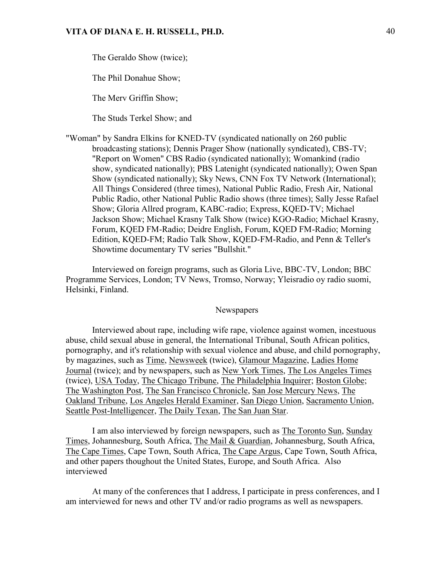The Geraldo Show (twice);

The Phil Donahue Show;

The Merv Griffin Show;

The Studs Terkel Show; and

"Woman" by Sandra Elkins for KNED-TV (syndicated nationally on 260 public broadcasting stations); Dennis Prager Show (nationally syndicated), CBS-TV; "Report on Women" CBS Radio (syndicated nationally); Womankind (radio show, syndicated nationally); PBS Latenight (syndicated nationally); Owen Span Show (syndicated nationally); Sky News, CNN Fox TV Network (International); All Things Considered (three times), National Public Radio, Fresh Air, National Public Radio, other National Public Radio shows (three times); Sally Jesse Rafael Show; Gloria Allred program, KABC-radio; Express, KQED-TV; Michael Jackson Show; Michael Krasny Talk Show (twice) KGO-Radio; Michael Krasny, Forum, KQED FM-Radio; Deidre English, Forum, KQED FM-Radio; Morning Edition, KQED-FM; Radio Talk Show, KQED-FM-Radio, and Penn & Teller's Showtime documentary TV series "Bullshit."

Interviewed on foreign programs, such as Gloria Live, BBC-TV, London; BBC Programme Services, London; TV News, Tromso, Norway; Yleisradio oy radio suomi, Helsinki, Finland.

#### **Newspapers**

Interviewed about rape, including wife rape, violence against women, incestuous abuse, child sexual abuse in general, the International Tribunal, South African politics, pornography, and it's relationship with sexual violence and abuse, and child pornography, by magazines, such as Time, Newsweek (twice), Glamour Magazine, Ladies Home Journal (twice); and by newspapers, such as New York Times, The Los Angeles Times (twice), USA Today, The Chicago Tribune, The Philadelphia Inquirer; Boston Globe; The Washington Post, The San Francisco Chronicle, San Jose Mercury News, The Oakland Tribune, Los Angeles Herald Examiner, San Diego Union, Sacramento Union, Seattle Post-Intelligencer, The Daily Texan, The San Juan Star.

I am also interviewed by foreign newspapers, such as The Toronto Sun, Sunday Times, Johannesburg, South Africa, The Mail & Guardian, Johannesburg, South Africa, The Cape Times, Cape Town, South Africa, The Cape Argus, Cape Town, South Africa, and other papers thoughout the United States, Europe, and South Africa. Also interviewed

At many of the conferences that I address, I participate in press conferences, and I am interviewed for news and other TV and/or radio programs as well as newspapers.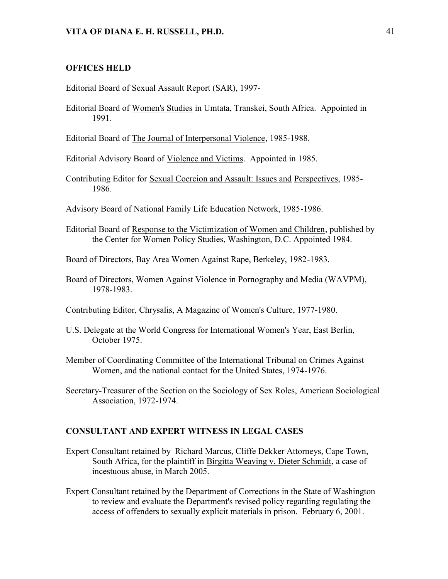#### **OFFICES HELD**

Editorial Board of Sexual Assault Report (SAR), 1997-

Editorial Board of Women's Studies in Umtata, Transkei, South Africa. Appointed in 1991.

Editorial Board of The Journal of Interpersonal Violence, 1985-1988.

Editorial Advisory Board of Violence and Victims. Appointed in 1985.

Contributing Editor for Sexual Coercion and Assault: Issues and Perspectives, 1985- 1986.

Advisory Board of National Family Life Education Network, 1985-1986.

Editorial Board of Response to the Victimization of Women and Children, published by the Center for Women Policy Studies, Washington, D.C. Appointed 1984.

Board of Directors, Bay Area Women Against Rape, Berkeley, 1982-1983.

Board of Directors, Women Against Violence in Pornography and Media (WAVPM), 1978-1983.

Contributing Editor, Chrysalis, A Magazine of Women's Culture, 1977-1980.

- U.S. Delegate at the World Congress for International Women's Year, East Berlin, October 1975.
- Member of Coordinating Committee of the International Tribunal on Crimes Against Women, and the national contact for the United States, 1974-1976.
- Secretary-Treasurer of the Section on the Sociology of Sex Roles, American Sociological Association, 1972-1974.

#### **CONSULTANT AND EXPERT WITNESS IN LEGAL CASES**

- Expert Consultant retained by Richard Marcus, Cliffe Dekker Attorneys, Cape Town, South Africa, for the plaintiff in Birgitta Weaving v. Dieter Schmidt, a case of incestuous abuse, in March 2005.
- Expert Consultant retained by the Department of Corrections in the State of Washington to review and evaluate the Department's revised policy regarding regulating the access of offenders to sexually explicit materials in prison. February 6, 2001.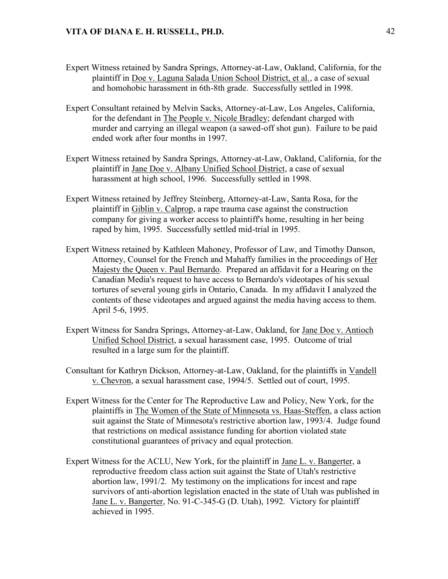- Expert Witness retained by Sandra Springs, Attorney-at-Law, Oakland, California, for the plaintiff in Doe v. Laguna Salada Union School District, et al., a case of sexual and homohobic harassment in 6th-8th grade. Successfully settled in 1998.
- Expert Consultant retained by Melvin Sacks, Attorney-at-Law, Los Angeles, California, for the defendant in The People v. Nicole Bradley; defendant charged with murder and carrying an illegal weapon (a sawed-off shot gun). Failure to be paid ended work after four months in 1997.
- Expert Witness retained by Sandra Springs, Attorney-at-Law, Oakland, California, for the plaintiff in Jane Doe v. Albany Unified School District, a case of sexual harassment at high school, 1996. Successfully settled in 1998.
- Expert Witness retained by Jeffrey Steinberg, Attorney-at-Law, Santa Rosa, for the plaintiff in Giblin v. Calprop, a rape trauma case against the construction company for giving a worker access to plaintiff's home, resulting in her being raped by him, 1995. Successfully settled mid-trial in 1995.
- Expert Witness retained by Kathleen Mahoney, Professor of Law, and Timothy Danson, Attorney, Counsel for the French and Mahaffy families in the proceedings of Her Majesty the Queen v. Paul Bernardo. Prepared an affidavit for a Hearing on the Canadian Media's request to have access to Bernardo's videotapes of his sexual tortures of several young girls in Ontario, Canada. In my affidavit I analyzed the contents of these videotapes and argued against the media having access to them. April 5-6, 1995.
- Expert Witness for Sandra Springs, Attorney-at-Law, Oakland, for Jane Doe v. Antioch Unified School District, a sexual harassment case, 1995. Outcome of trial resulted in a large sum for the plaintiff.
- Consultant for Kathryn Dickson, Attorney-at-Law, Oakland, for the plaintiffs in Vandell v. Chevron, a sexual harassment case, 1994/5. Settled out of court, 1995.
- Expert Witness for the Center for The Reproductive Law and Policy, New York, for the plaintiffs in The Women of the State of Minnesota vs. Haas-Steffen, a class action suit against the State of Minnesota's restrictive abortion law, 1993/4. Judge found that restrictions on medical assistance funding for abortion violated state constitutional guarantees of privacy and equal protection.
- Expert Witness for the ACLU, New York, for the plaintiff in Jane L. v. Bangerter, a reproductive freedom class action suit against the State of Utah's restrictive abortion law, 1991/2. My testimony on the implications for incest and rape survivors of anti-abortion legislation enacted in the state of Utah was published in Jane L. v. Bangerter, No. 91-C-345-G (D. Utah), 1992. Victory for plaintiff achieved in 1995.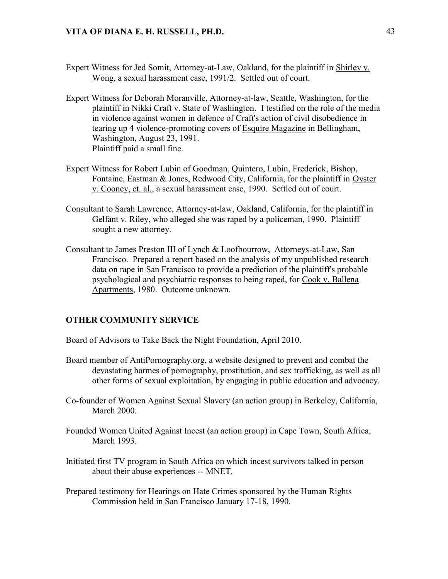- Expert Witness for Jed Somit, Attorney-at-Law, Oakland, for the plaintiff in Shirley v. Wong, a sexual harassment case, 1991/2. Settled out of court.
- Expert Witness for Deborah Moranville, Attorney-at-law, Seattle, Washington, for the plaintiff in Nikki Craft v. State of Washington. I testified on the role of the media in violence against women in defence of Craft's action of civil disobedience in tearing up 4 violence-promoting covers of Esquire Magazine in Bellingham, Washington, August 23, 1991. Plaintiff paid a small fine.
- Expert Witness for Robert Lubin of Goodman, Quintero, Lubin, Frederick, Bishop, Fontaine, Eastman & Jones, Redwood City, California, for the plaintiff in Oyster v. Cooney, et. al., a sexual harassment case, 1990. Settled out of court.
- Consultant to Sarah Lawrence, Attorney-at-law, Oakland, California, for the plaintiff in Gelfant v. Riley, who alleged she was raped by a policeman, 1990. Plaintiff sought a new attorney.
- Consultant to James Preston III of Lynch & Loofbourrow, Attorneys-at-Law, San Francisco. Prepared a report based on the analysis of my unpublished research data on rape in San Francisco to provide a prediction of the plaintiff's probable psychological and psychiatric responses to being raped, for Cook v. Ballena Apartments, 1980. Outcome unknown.

#### **OTHER COMMUNITY SERVICE**

- Board of Advisors to Take Back the Night Foundation, April 2010.
- Board member of AntiPornography.org, a website designed to prevent and combat the devastating harmes of pornography, prostitution, and sex trafficking, as well as all other forms of sexual exploitation, by engaging in public education and advocacy.
- Co-founder of Women Against Sexual Slavery (an action group) in Berkeley, California, March 2000.
- Founded Women United Against Incest (an action group) in Cape Town, South Africa, March 1993.
- Initiated first TV program in South Africa on which incest survivors talked in person about their abuse experiences -- MNET.
- Prepared testimony for Hearings on Hate Crimes sponsored by the Human Rights Commission held in San Francisco January 17-18, 1990.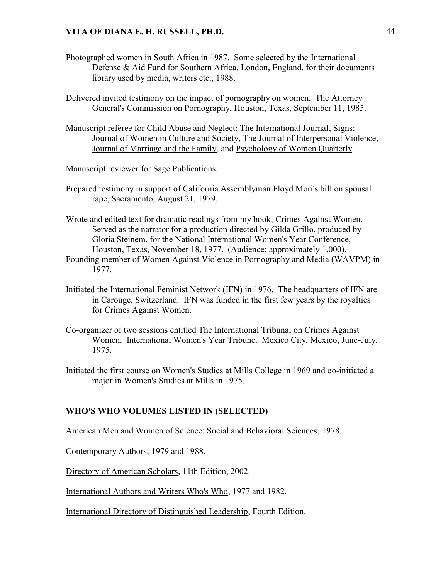- Photographed women in South Africa in 1987. Some selected by the International Defense & Aid Fund for Southern Africa, London, England, for their documents library used by media, writers etc., 1988.
- Delivered invited testimony on the impact of pornography on women. The Attorney General's Commission on Pornography, Houston, Texas, September 11, 1985.
- Manuscript referee for Child Abuse and Neglect: The International Journal, Signs: Journal of Women in Culture and Society, The Journal of Interpersonal Violence, Journal of Marriage and the Family, and Psychology of Women Quarterly.

Manuscript reviewer for Sage Publications.

- Prepared testimony in support of California Assemblyman Floyd Mori's bill on spousal rape, Sacramento, August 21, 1979.
- Wrote and edited text for dramatic readings from my book, Crimes Against Women. Served as the narrator for a production directed by Gilda Grillo, produced by Gloria Steinem, for the National International Women's Year Conference, Houston, Texas, November 18, 1977. (Audience: approximately 1,000). Founding member of Women Against Violence in Pornography and Media (WAVPM) in
- 1977.
- Initiated the International Feminist Network (IFN) in 1976. The headquarters of IFN are in Carouge, Switzerland. IFN was funded in the first few years by the royalties for Crimes Against Women.
- Co-organizer of two sessions entitled The International Tribunal on Crimes Against Women. International Women's Year Tribune. Mexico City, Mexico, June-July, 1975.
- Initiated the first course on Women's Studies at Mills College in 1969 and co-initiated a major in Women's Studies at Mills in 1975.

#### **WHO'S WHO VOLUMES LISTED IN (SELECTED)**

American Men and Women of Science: Social and Behavioral Sciences, 1978.

Contemporary Authors, 1979 and 1988.

Directory of American Scholars, 11th Edition, 2002.

International Authors and Writers Who's Who, 1977 and 1982.

International Directory of Distinguished Leadership, Fourth Edition.